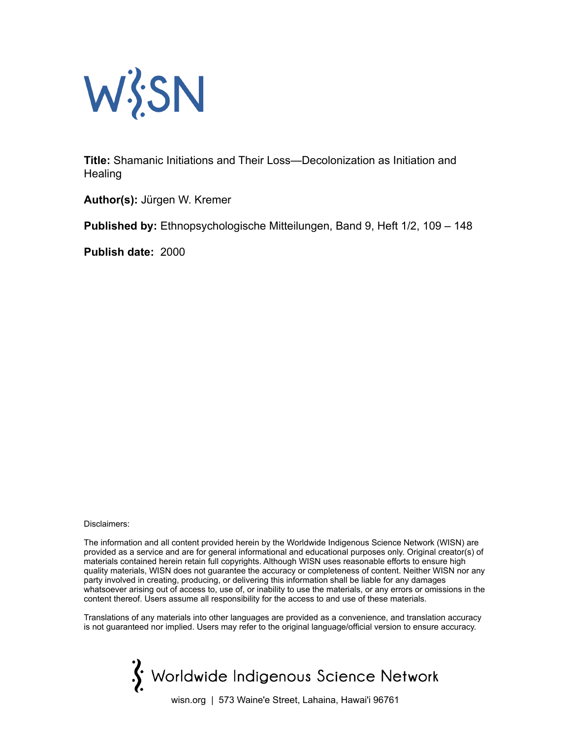

**Title:** Shamanic Initiations and Their Loss—Decolonization as Initiation and **Healing** 

**Author(s):** Jürgen W. Kremer

**Published by:** Ethnopsychologische Mitteilungen, Band 9, Heft 1/2, 109 – 148

**Publish date:** 2000

Disclaimers:

The information and all content provided herein by the Worldwide Indigenous Science Network (WISN) are provided as a service and are for general informational and educational purposes only. Original creator(s) of materials contained herein retain full copyrights. Although WISN uses reasonable efforts to ensure high quality materials, WISN does not guarantee the accuracy or completeness of content. Neither WISN nor any party involved in creating, producing, or delivering this information shall be liable for any damages whatsoever arising out of access to, use of, or inability to use the materials, or any errors or omissions in the content thereof. Users assume all responsibility for the access to and use of these materials.

Translations of any materials into other languages are provided as a convenience, and translation accuracy is not guaranteed nor implied. Users may refer to the original language/official version to ensure accuracy.



wisn.org | 573 Waine'e Street, Lahaina, Hawai'i 96761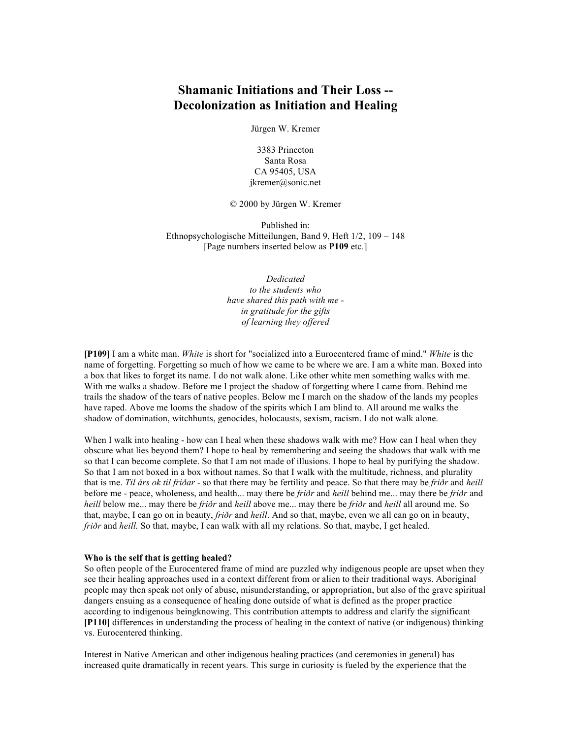# **Shamanic Initiations and Their Loss -- Decolonization as Initiation and Healing**

Jürgen W. Kremer

3383 Princeton Santa Rosa CA 95405, USA jkremer@sonic.net

© 2000 by Jürgen W. Kremer

Published in: Ethnopsychologische Mitteilungen, Band 9, Heft 1/2, 109 – 148 [Page numbers inserted below as **P109** etc.]

> *Dedicated to the students who have shared this path with me in gratitude for the gifts of learning they offered*

**[P109]** I am a white man. *White* is short for "socialized into a Eurocentered frame of mind." *White* is the name of forgetting. Forgetting so much of how we came to be where we are. I am a white man. Boxed into a box that likes to forget its name. I do not walk alone. Like other white men something walks with me. With me walks a shadow. Before me I project the shadow of forgetting where I came from. Behind me trails the shadow of the tears of native peoples. Below me I march on the shadow of the lands my peoples have raped. Above me looms the shadow of the spirits which I am blind to. All around me walks the shadow of domination, witchhunts, genocides, holocausts, sexism, racism. I do not walk alone.

When I walk into healing - how can I heal when these shadows walk with me? How can I heal when they obscure what lies beyond them? I hope to heal by remembering and seeing the shadows that walk with me so that I can become complete. So that I am not made of illusions. I hope to heal by purifying the shadow. So that I am not boxed in a box without names. So that I walk with the multitude, richness, and plurality that is me. *Til árs ok til friðar* - so that there may be fertility and peace. So that there may be *friðr* and *heill* before me - peace, wholeness, and health... may there be *friðr* and *heill* behind me... may there be *friðr* and *heill* below me... may there be *friðr* and *heill* above me... may there be *friðr* and *heill* all around me. So that, maybe, I can go on in beauty, *friðr* and *heill*. And so that, maybe, even we all can go on in beauty, *friðr* and *heill.* So that, maybe, I can walk with all my relations. So that, maybe, I get healed.

#### **Who is the self that is getting healed?**

So often people of the Eurocentered frame of mind are puzzled why indigenous people are upset when they see their healing approaches used in a context different from or alien to their traditional ways. Aboriginal people may then speak not only of abuse, misunderstanding, or appropriation, but also of the grave spiritual dangers ensuing as a consequence of healing done outside of what is defined as the proper practice according to indigenous beingknowing. This contribution attempts to address and clarify the significant **[P110]** differences in understanding the process of healing in the context of native (or indigenous) thinking vs. Eurocentered thinking.

Interest in Native American and other indigenous healing practices (and ceremonies in general) has increased quite dramatically in recent years. This surge in curiosity is fueled by the experience that the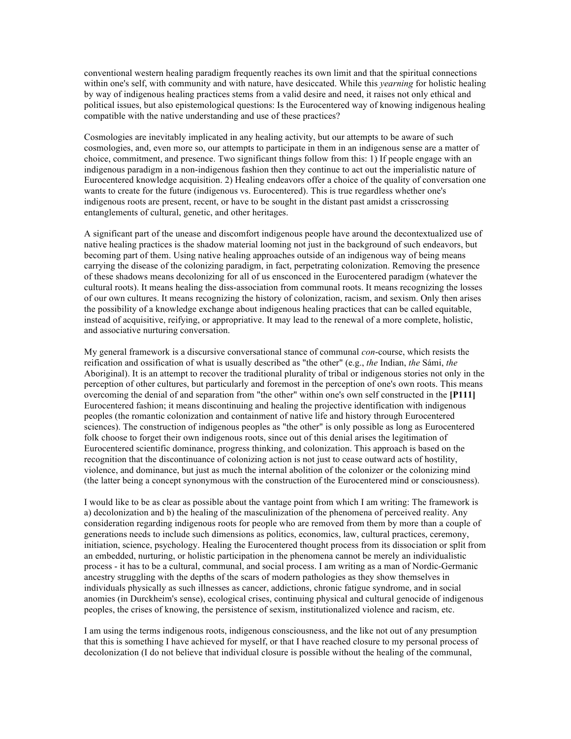conventional western healing paradigm frequently reaches its own limit and that the spiritual connections within one's self, with community and with nature, have desiccated. While this *yearning* for holistic healing by way of indigenous healing practices stems from a valid desire and need, it raises not only ethical and political issues, but also epistemological questions: Is the Eurocentered way of knowing indigenous healing compatible with the native understanding and use of these practices?

Cosmologies are inevitably implicated in any healing activity, but our attempts to be aware of such cosmologies, and, even more so, our attempts to participate in them in an indigenous sense are a matter of choice, commitment, and presence. Two significant things follow from this: 1) If people engage with an indigenous paradigm in a non-indigenous fashion then they continue to act out the imperialistic nature of Eurocentered knowledge acquisition. 2) Healing endeavors offer a choice of the quality of conversation one wants to create for the future (indigenous vs. Eurocentered). This is true regardless whether one's indigenous roots are present, recent, or have to be sought in the distant past amidst a crisscrossing entanglements of cultural, genetic, and other heritages.

A significant part of the unease and discomfort indigenous people have around the decontextualized use of native healing practices is the shadow material looming not just in the background of such endeavors, but becoming part of them. Using native healing approaches outside of an indigenous way of being means carrying the disease of the colonizing paradigm, in fact, perpetrating colonization. Removing the presence of these shadows means decolonizing for all of us ensconced in the Eurocentered paradigm (whatever the cultural roots). It means healing the diss-association from communal roots. It means recognizing the losses of our own cultures. It means recognizing the history of colonization, racism, and sexism. Only then arises the possibility of a knowledge exchange about indigenous healing practices that can be called equitable, instead of acquisitive, reifying, or appropriative. It may lead to the renewal of a more complete, holistic, and associative nurturing conversation.

My general framework is a discursive conversational stance of communal *con*-course, which resists the reification and ossification of what is usually described as "the other" (e.g., *the* Indian, *the* Sámi, *the* Aboriginal). It is an attempt to recover the traditional plurality of tribal or indigenous stories not only in the perception of other cultures, but particularly and foremost in the perception of one's own roots. This means overcoming the denial of and separation from "the other" within one's own self constructed in the **[P111]**  Eurocentered fashion; it means discontinuing and healing the projective identification with indigenous peoples (the romantic colonization and containment of native life and history through Eurocentered sciences). The construction of indigenous peoples as "the other" is only possible as long as Eurocentered folk choose to forget their own indigenous roots, since out of this denial arises the legitimation of Eurocentered scientific dominance, progress thinking, and colonization. This approach is based on the recognition that the discontinuance of colonizing action is not just to cease outward acts of hostility, violence, and dominance, but just as much the internal abolition of the colonizer or the colonizing mind (the latter being a concept synonymous with the construction of the Eurocentered mind or consciousness).

I would like to be as clear as possible about the vantage point from which I am writing: The framework is a) decolonization and b) the healing of the masculinization of the phenomena of perceived reality. Any consideration regarding indigenous roots for people who are removed from them by more than a couple of generations needs to include such dimensions as politics, economics, law, cultural practices, ceremony, initiation, science, psychology. Healing the Eurocentered thought process from its dissociation or split from an embedded, nurturing, or holistic participation in the phenomena cannot be merely an individualistic process - it has to be a cultural, communal, and social process. I am writing as a man of Nordic-Germanic ancestry struggling with the depths of the scars of modern pathologies as they show themselves in individuals physically as such illnesses as cancer, addictions, chronic fatigue syndrome, and in social anomies (in Durckheim's sense), ecological crises, continuing physical and cultural genocide of indigenous peoples, the crises of knowing, the persistence of sexism, institutionalized violence and racism, etc.

I am using the terms indigenous roots, indigenous consciousness, and the like not out of any presumption that this is something I have achieved for myself, or that I have reached closure to my personal process of decolonization (I do not believe that individual closure is possible without the healing of the communal,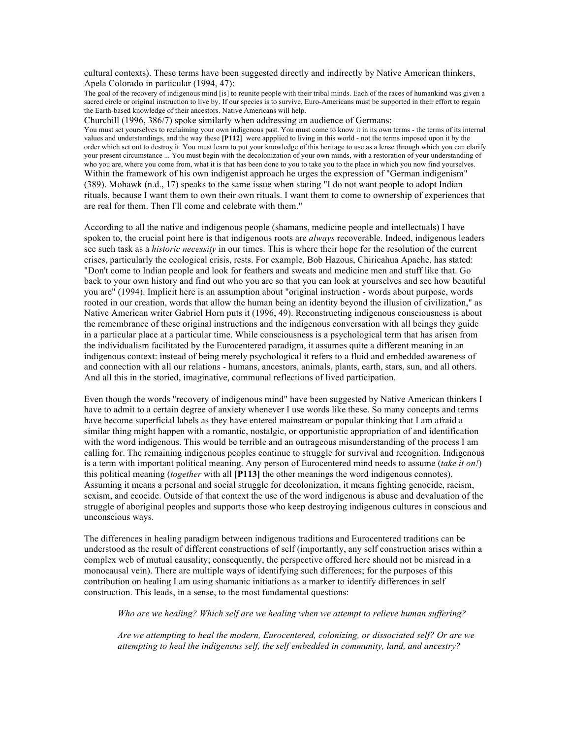cultural contexts). These terms have been suggested directly and indirectly by Native American thinkers, Apela Colorado in particular (1994, 47):

The goal of the recovery of indigenous mind [is] to reunite people with their tribal minds. Each of the races of humankind was given a sacred circle or original instruction to live by. If our species is to survive, Euro-Americans must be supported in their effort to regain the Earth-based knowledge of their ancestors. Native Americans will help.

Churchill (1996, 386/7) spoke similarly when addressing an audience of Germans:

You must set yourselves to reclaiming your own indigenous past. You must come to know it in its own terms - the terms of its internal values and understandings, and the way these **[P112]** were appplied to living in this world - not the terms imposed upon it by the order which set out to destroy it. You must learn to put your knowledge of this heritage to use as a lense through which you can clarify your present circumstance ... You must begin with the decolonization of your own minds, with a restoration of your understanding of who you are, where you come from, what it is that has been done to you to take you to the place in which you now find yourselves. Within the framework of his own indigenist approach he urges the expression of "German indigenism" (389). Mohawk (n.d., 17) speaks to the same issue when stating "I do not want people to adopt Indian rituals, because I want them to own their own rituals. I want them to come to ownership of experiences that are real for them. Then I'll come and celebrate with them."

According to all the native and indigenous people (shamans, medicine people and intellectuals) I have spoken to, the crucial point here is that indigenous roots are *always* recoverable. Indeed, indigenous leaders see such task as a *historic necessity* in our times. This is where their hope for the resolution of the current crises, particularly the ecological crisis, rests. For example, Bob Hazous, Chiricahua Apache, has stated: "Don't come to Indian people and look for feathers and sweats and medicine men and stuff like that. Go back to your own history and find out who you are so that you can look at yourselves and see how beautiful you are" (1994). Implicit here is an assumption about "original instruction - words about purpose, words rooted in our creation, words that allow the human being an identity beyond the illusion of civilization," as Native American writer Gabriel Horn puts it (1996, 49). Reconstructing indigenous consciousness is about the remembrance of these original instructions and the indigenous conversation with all beings they guide in a particular place at a particular time. While consciousness is a psychological term that has arisen from the individualism facilitated by the Eurocentered paradigm, it assumes quite a different meaning in an indigenous context: instead of being merely psychological it refers to a fluid and embedded awareness of and connection with all our relations - humans, ancestors, animals, plants, earth, stars, sun, and all others. And all this in the storied, imaginative, communal reflections of lived participation.

Even though the words "recovery of indigenous mind" have been suggested by Native American thinkers I have to admit to a certain degree of anxiety whenever I use words like these. So many concepts and terms have become superficial labels as they have entered mainstream or popular thinking that I am afraid a similar thing might happen with a romantic, nostalgic, or opportunistic appropriation of and identification with the word indigenous. This would be terrible and an outrageous misunderstanding of the process I am calling for. The remaining indigenous peoples continue to struggle for survival and recognition. Indigenous is a term with important political meaning. Any person of Eurocentered mind needs to assume (*take it on!*) this political meaning (*together* with all **[P113]** the other meanings the word indigenous connotes). Assuming it means a personal and social struggle for decolonization, it means fighting genocide, racism, sexism, and ecocide. Outside of that context the use of the word indigenous is abuse and devaluation of the struggle of aboriginal peoples and supports those who keep destroying indigenous cultures in conscious and unconscious ways.

The differences in healing paradigm between indigenous traditions and Eurocentered traditions can be understood as the result of different constructions of self (importantly, any self construction arises within a complex web of mutual causality; consequently, the perspective offered here should not be misread in a monocausal vein). There are multiple ways of identifying such differences; for the purposes of this contribution on healing I am using shamanic initiations as a marker to identify differences in self construction. This leads, in a sense, to the most fundamental questions:

*Who are we healing? Which self are we healing when we attempt to relieve human suffering?* 

*Are we attempting to heal the modern, Eurocentered, colonizing, or dissociated self? Or are we attempting to heal the indigenous self, the self embedded in community, land, and ancestry?*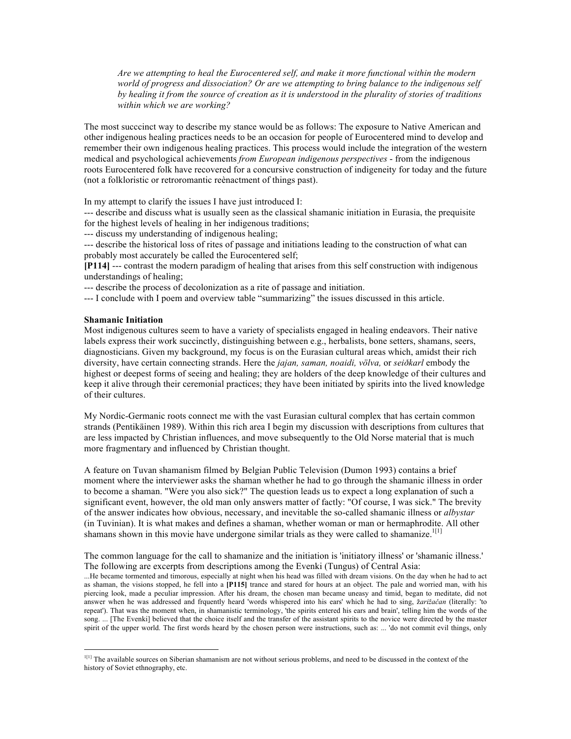*Are we attempting to heal the Eurocentered self, and make it more functional within the modern world of progress and dissociation? Or are we attempting to bring balance to the indigenous self by healing it from the source of creation as it is understood in the plurality of stories of traditions within which we are working?*

The most succcinct way to describe my stance would be as follows: The exposure to Native American and other indigenous healing practices needs to be an occasion for people of Eurocentered mind to develop and remember their own indigenous healing practices. This process would include the integration of the western medical and psychological achievements *from European indigenous perspectives* - from the indigenous roots Eurocentered folk have recovered for a concursive construction of indigeneity for today and the future (not a folkloristic or retroromantic reènactment of things past).

In my attempt to clarify the issues I have just introduced I:

--- describe and discuss what is usually seen as the classical shamanic initiation in Eurasia, the prequisite for the highest levels of healing in her indigenous traditions;

--- discuss my understanding of indigenous healing;

--- describe the historical loss of rites of passage and initiations leading to the construction of what can probably most accurately be called the Eurocentered self;

**[P114]** --- contrast the modern paradigm of healing that arises from this self construction with indigenous understandings of healing;

--- describe the process of decolonization as a rite of passage and initiation.

--- I conclude with I poem and overview table "summarizing" the issues discussed in this article.

#### **Shamanic Initiation**

Most indigenous cultures seem to have a variety of specialists engaged in healing endeavors. Their native labels express their work succinctly, distinguishing between e.g., herbalists, bone setters, shamans, seers, diagnosticians. Given my background, my focus is on the Eurasian cultural areas which, amidst their rich diversity, have certain connecting strands. Here the *jajan, saman, noaidi, völva,* or *seiðkarl* embody the highest or deepest forms of seeing and healing; they are holders of the deep knowledge of their cultures and keep it alive through their ceremonial practices; they have been initiated by spirits into the lived knowledge of their cultures.

My Nordic-Germanic roots connect me with the vast Eurasian cultural complex that has certain common strands (Pentikäinen 1989). Within this rich area I begin my discussion with descriptions from cultures that are less impacted by Christian influences, and move subsequently to the Old Norse material that is much more fragmentary and influenced by Christian thought.

A feature on Tuvan shamanism filmed by Belgian Public Television (Dumon 1993) contains a brief moment where the interviewer asks the shaman whether he had to go through the shamanic illness in order to become a shaman. "Were you also sick?" The question leads us to expect a long explanation of such a significant event, however, the old man only answers matter of factly: "Of course, I was sick." The brevity of the answer indicates how obvious, necessary, and inevitable the so-called shamanic illness or *albystar* (in Tuvinian). It is what makes and defines a shaman, whether woman or man or hermaphrodite. All other shamans shown in this movie have undergone similar trials as they were called to shamanize.<sup>[1]</sup>

The common language for the call to shamanize and the initiation is 'initiatory illness' or 'shamanic illness.' The following are excerpts from descriptions among the Evenki (Tungus) of Central Asia:

...He became tormented and timorous, especially at night when his head was filled with dream visions. On the day when he had to act as shaman, the visions stopped, he fell into a **[P115]** trance and stared for hours at an object. The pale and worried man, with his piercing look, made a peculiar impression. After his dream, the chosen man became uneasy and timid, began to meditate, did not answer when he was addressed and frquently heard 'words whispered into his ears' which he had to sing, ž*arižačan* (literally: 'to repeat'). That was the moment when, in shamanistic terminology, 'the spirits entered his ears and brain', telling him the words of the song. ... [The Evenki] believed that the choice itself and the transfer of the assistant spirits to the novice were directed by the master spirit of the upper world. The first words heard by the chosen person were instructions, such as: ... 'do not commit evil things, only

<sup>&</sup>lt;sup>1[1]</sup> The available sources on Siberian shamanism are not without serious problems, and need to be discussed in the context of the history of Soviet ethnography, etc.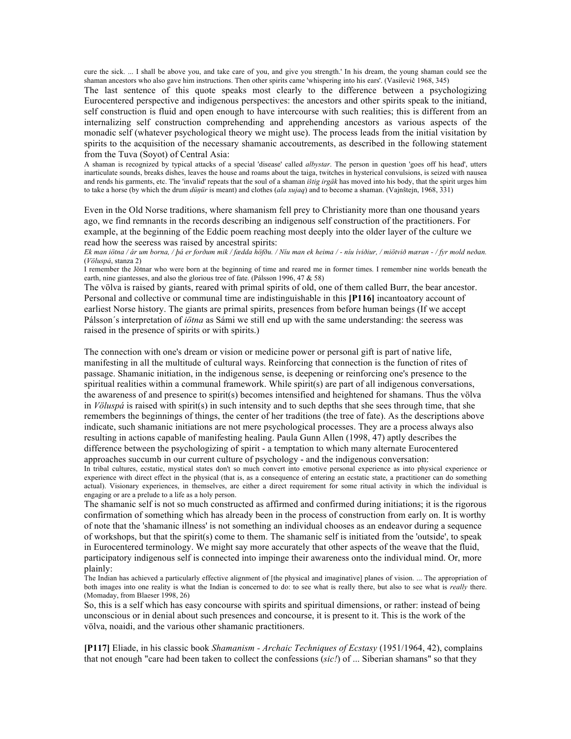cure the sick. ... I shall be above you, and take care of you, and give you strength.' In his dream, the young shaman could see the shaman ancestors who also gave him instructions. Then other spirits came 'whispering into his ears'. (Vasilevič 1968, 345)

The last sentence of this quote speaks most clearly to the difference between a psychologizing Eurocentered perspective and indigenous perspectives: the ancestors and other spirits speak to the initiand, self construction is fluid and open enough to have intercourse with such realities; this is different from an internalizing self construction comprehending and apprehending ancestors as various aspects of the monadic self (whatever psychological theory we might use). The process leads from the initial visitation by spirits to the acquisition of the necessary shamanic accoutrements, as described in the following statement from the Tuva (Soyot) of Central Asia:

A shaman is recognized by typical attacks of a special 'disease' called *albystar*. The person in question 'goes off his head', utters inarticulate sounds, breaks dishes, leaves the house and roams about the taiga, twitches in hysterical convulsions, is seized with nausea and rends his garments, etc. The 'invalid' repeats that the soul of a shaman *ištig irgäk* has moved into his body, that the spirit urges him to take a horse (by which the drum *düŋür* is meant) and clothes (*ala xujaq*) and to become a shaman. (Vajnštejn, 1968, 331)

Even in the Old Norse traditions, where shamanism fell prey to Christianity more than one thousand years ago, we find remnants in the records describing an indigenous self construction of the practitioners. For example, at the beginning of the Eddic poem reaching most deeply into the older layer of the culture we read how the seeress was raised by ancestral spirits:

Ek man iötna / ár um borna, / þá er forðum mik / fædda höfðu. / Níu man ek heima / - níu íviðiur, / miötvið mæran - / fyr mold neðan. (*Völuspá*, stanza 2)

I remember the Jötnar who were born at the beginning of time and reared me in former times. I remember nine worlds beneath the earth, nine giantesses, and also the glorious tree of fate. (Pálsson 1996, 47 & 58)

The völva is raised by giants, reared with primal spirits of old, one of them called Burr, the bear ancestor. Personal and collective or communal time are indistinguishable in this **[P116]** incantoatory account of earliest Norse history. The giants are primal spirits, presences from before human beings (If we accept Pálsson´s interpretation of *iötna* as Sámi we still end up with the same understanding: the seeress was raised in the presence of spirits or with spirits.)

The connection with one's dream or vision or medicine power or personal gift is part of native life, manifesting in all the multitude of cultural ways. Reinforcing that connection is the function of rites of passage. Shamanic initiation, in the indigenous sense, is deepening or reinforcing one's presence to the spiritual realities within a communal framework. While spirit(s) are part of all indigenous conversations, the awareness of and presence to spirit(s) becomes intensified and heightened for shamans. Thus the völva in *Völuspá* is raised with spirit(s) in such intensity and to such depths that she sees through time, that she remembers the beginnings of things, the center of her traditions (the tree of fate). As the descriptions above indicate, such shamanic initiations are not mere psychological processes. They are a process always also resulting in actions capable of manifesting healing. Paula Gunn Allen (1998, 47) aptly describes the difference between the psychologizing of spirit - a temptation to which many alternate Eurocentered approaches succumb in our current culture of psychology - and the indigenous conversation:

In tribal cultures, ecstatic, mystical states don't so much convert into emotive personal experience as into physical experience or experience with direct effect in the physical (that is, as a consequence of entering an ecstatic state, a practitioner can do something actual). Visionary experiences, in themselves, are either a direct requirement for some ritual activity in which the individual is engaging or are a prelude to a life as a holy person.

The shamanic self is not so much constructed as affirmed and confirmed during initiations; it is the rigorous confirmation of something which has already been in the process of construction from early on. It is worthy of note that the 'shamanic illness' is not something an individual chooses as an endeavor during a sequence of workshops, but that the spirit(s) come to them. The shamanic self is initiated from the 'outside', to speak in Eurocentered terminology. We might say more accurately that other aspects of the weave that the fluid, participatory indigenous self is connected into impinge their awareness onto the individual mind. Or, more plainly:

The Indian has achieved a particularly effective alignment of [the physical and imaginative] planes of vision. ... The appropriation of both images into one reality is what the Indian is concerned to do: to see what is really there, but also to see what is *really* there. (Momaday, from Blaeser 1998, 26)

So, this is a self which has easy concourse with spirits and spiritual dimensions, or rather: instead of being unconscious or in denial about such presences and concourse, it is present to it. This is the work of the völva, noaidi, and the various other shamanic practitioners.

**[P117]** Eliade, in his classic book *Shamanism - Archaic Techniques of Ecstasy* (1951/1964, 42), complains that not enough "care had been taken to collect the confessions (*sic!*) of ... Siberian shamans" so that they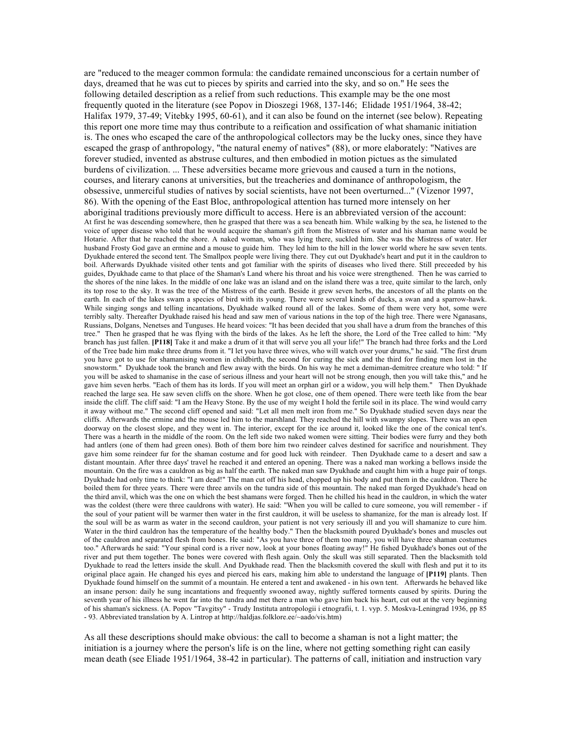are "reduced to the meager common formula: the candidate remained unconscious for a certain number of days, dreamed that he was cut to pieces by spirits and carried into the sky, and so on." He sees the following detailed description as a relief from such reductions. This example may be the one most frequently quoted in the literature (see Popov in Dioszegi 1968, 137-146; Elidade 1951/1964, 38-42; Halifax 1979, 37-49; Vitebky 1995, 60-61), and it can also be found on the internet (see below). Repeating this report one more time may thus contribute to a reification and ossification of what shamanic initiation is. The ones who escaped the care of the anthropological collectors may be the lucky ones, since they have escaped the grasp of anthropology, "the natural enemy of natives" (88), or more elaborately: "Natives are forever studied, invented as abstruse cultures, and then embodied in motion pictues as the simulated burdens of civilization. ... These adversities became more grievous and caused a turn in the notions, courses, and literary canons at universities, but the treacheries and dominance of anthropologism, the obsessive, unmerciful studies of natives by social scientists, have not been overturned..." (Vizenor 1997, 86). With the opening of the East Bloc, anthropological attention has turned more intensely on her aboriginal traditions previously more difficult to access. Here is an abbreviated version of the account: At first he was descending somewhere, then he grasped that there was a sea beneath him. While walking by the sea, he listened to the voice of upper disease who told that he would acquire the shaman's gift from the Mistress of water and his shaman name would be Hotarie. After that he reached the shore. A naked woman, who was lying there, suckled him. She was the Mistress of water. Her husband Frosty God gave an ermine and a mouse to guide him. They led him to the hill in the lower world where he saw seven tents. Dyukhade entered the second tent. The Smallpox people were living there. They cut out Dyukhade's heart and put it in the cauldron to boil. Afterwards Dyukhade visited other tents and got familiar with the spirits of diseases who lived there. Still preceeded by his guides, Dyukhade came to that place of the Shaman's Land where his throat and his voice were strengthened. Then he was carried to the shores of the nine lakes. In the middle of one lake was an island and on the island there was a tree, quite similar to the larch, only its top rose to the sky. It was the tree of the Mistress of the earth. Beside it grew seven herbs, the ancestors of all the plants on the earth. In each of the lakes swam a species of bird with its young. There were several kinds of ducks, a swan and a sparrow-hawk. While singing songs and telling incantations, Dyukhade walked round all of the lakes. Some of them were very hot, some were terribly salty. Thereafter Dyukhade raised his head and saw men of various nations in the top of the high tree. There were Nganasans, Russians, Dolgans, Nenetses and Tunguses. He heard voices: "It has been decided that you shall have a drum from the branches of this tree." Then he grasped that he was flying with the birds of the lakes. As he left the shore, the Lord of the Tree called to him: "My branch has just fallen. **[P118]** Take it and make a drum of it that will serve you all your life!" The branch had three forks and the Lord of the Tree bade him make three drums from it. "I let you have three wives, who will watch over your drums," he said. "The first drum you have got to use for shamanising women in childbirth, the second for curing the sick and the third for finding men lost in the snowstorm." Dyukhade took the branch and flew away with the birds. On his way he met a demiman-demitree creature who told: " If you will be asked to shamanise in the case of serious illness and your heart will not be strong enough, then you will take this," and he gave him seven herbs. "Each of them has its lords. If you will meet an orphan girl or a widow, you will help them." Then Dyukhade reached the large sea. He saw seven cliffs on the shore. When he got close, one of them opened. There were teeth like from the bear inside the cliff. The cliff said: "I am the Heavy Stone. By the use of my weight I hold the fertile soil in its place. The wind would carry it away without me." The second cliff opened and said: "Let all men melt iron from me." So Dyukhade studied seven days near the cliffs. Afterwards the ermine and the mouse led him to the marshland. They reached the hill with swampy slopes. There was an open doorway on the closest slope, and they went in. The interior, except for the ice around it, looked like the one of the conical tent's. There was a hearth in the middle of the room. On the left side two naked women were sitting. Their bodies were furry and they both had antlers (one of them had green ones). Both of them bore him two reindeer calves destined for sacrifice and nourishment. They gave him some reindeer fur for the shaman costume and for good luck with reindeer. Then Dyukhade came to a desert and saw a distant mountain. After three days' travel he reached it and entered an opening. There was a naked man working a bellows inside the mountain. On the fire was a cauldron as big as half the earth. The naked man saw Dyukhade and caught him with a huge pair of tongs. Dyukhade had only time to think: "I am dead!" The man cut off his head, chopped up his body and put them in the cauldron. There he boiled them for three years. There were three anvils on the tundra side of this mountain. The naked man forged Dyukhade's head on the third anvil, which was the one on which the best shamans were forged. Then he chilled his head in the cauldron, in which the water was the coldest (there were three cauldrons with water). He said: "When you will be called to cure someone, you will remember - if the soul of your patient will be warmer then water in the first cauldron, it will be useless to shamanize, for the man is already lost. If the soul will be as warm as water in the second cauldron, your patient is not very seriously ill and you will shamanize to cure him. Water in the third cauldron has the temperature of the healthy body." Then the blacksmith poured Dyukhade's bones and muscles out of the cauldron and separated flesh from bones. He said: "As you have three of them too many, you will have three shaman costumes too." Afterwards he said: "Your spinal cord is a river now, look at your bones floating away!" He fished Dyukhade's bones out of the river and put them together. The bones were covered with flesh again. Only the skull was still separated. Then the blacksmith told Dyukhade to read the letters inside the skull. And Dyukhade read. Then the blacksmith covered the skull with flesh and put it to its original place again. He changed his eyes and pierced his ears, making him able to understand the language of **[P119]** plants. Then Dyukhade found himself on the summit of a mountain. He entered a tent and awakened - in his own tent. Afterwards he behaved like an insane person: daily he sung incantations and frequently swooned away, nightly suffered torments caused by spirits. During the seventh year of his illness he went far into the tundra and met there a man who gave him back his heart, cut out at the very beginning of his shaman's sickness. (A. Popov "Tavgitsy" - Trudy Instituta antropologii i etnografii, t. 1. vyp. 5. Moskva-Leningrad 1936, pp 85 - 93. Abbreviated translation by A. Lintrop at http://haldjas.folklore.ee/~aado/vis.htm)

As all these descriptions should make obvious: the call to become a shaman is not a light matter; the initiation is a journey where the person's life is on the line, where not getting something right can easily mean death (see Eliade 1951/1964, 38-42 in particular). The patterns of call, initiation and instruction vary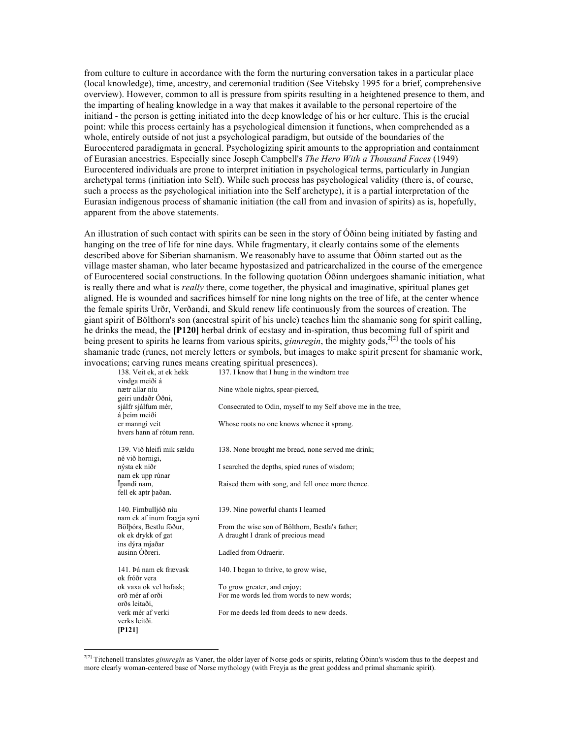from culture to culture in accordance with the form the nurturing conversation takes in a particular place (local knowledge), time, ancestry, and ceremonial tradition (See Vitebsky 1995 for a brief, comprehensive overview). However, common to all is pressure from spirits resulting in a heightened presence to them, and the imparting of healing knowledge in a way that makes it available to the personal repertoire of the initiand - the person is getting initiated into the deep knowledge of his or her culture. This is the crucial point: while this process certainly has a psychological dimension it functions, when comprehended as a whole, entirely outside of not just a psychological paradigm, but outside of the boundaries of the Eurocentered paradigmata in general. Psychologizing spirit amounts to the appropriation and containment of Eurasian ancestries. Especially since Joseph Campbell's *The Hero With a Thousand Faces* (1949) Eurocentered individuals are prone to interpret initiation in psychological terms, particularly in Jungian archetypal terms (initiation into Self). While such process has psychological validity (there is, of course, such a process as the psychological initiation into the Self archetype), it is a partial interpretation of the Eurasian indigenous process of shamanic initiation (the call from and invasion of spirits) as is, hopefully, apparent from the above statements.

An illustration of such contact with spirits can be seen in the story of Óðinn being initiated by fasting and hanging on the tree of life for nine days. While fragmentary, it clearly contains some of the elements described above for Siberian shamanism. We reasonably have to assume that Óðinn started out as the village master shaman, who later became hypostasized and patricarchalized in the course of the emergence of Eurocentered social constructions. In the following quotation Óðinn undergoes shamanic initiation, what is really there and what is *really* there, come together, the physical and imaginative, spiritual planes get aligned. He is wounded and sacrifices himself for nine long nights on the tree of life, at the center whence the female spirits Urðr, Verðandi, and Skuld renew life continuously from the sources of creation. The giant spirit of Bölthorn's son (ancestral spirit of his uncle) teaches him the shamanic song for spirit calling, he drinks the mead, the **[P120]** herbal drink of ecstasy and in-spiration, thus becoming full of spirit and being present to spirits he learns from various spirits, *ginnregin*, the mighty gods,<sup>2[2]</sup> the tools of his shamanic trade (runes, not merely letters or symbols, but images to make spirit present for shamanic work, invocations; carving runes means creating spiritual presences).

| 138. Veit ek, at ek hekk<br>vindga meiði á        | 137. I know that I hung in the windtorn tree                 |  |  |
|---------------------------------------------------|--------------------------------------------------------------|--|--|
| nætr allar níu<br>geiri undaðr Óðni,              | Nine whole nights, spear-pierced,                            |  |  |
| sjálfr sjálfum mér,<br>á þeim meiði               | Consecrated to Odin, myself to my Self above me in the tree, |  |  |
| er manngi veit<br>hvers hann af rótum renn.       | Whose roots no one knows whence it sprang.                   |  |  |
| 139. Við hleifi mik sældu<br>né við hornigi,      | 138. None brought me bread, none served me drink;            |  |  |
| nýsta ek niðr<br>nam ek upp rúnar                 | I searched the depths, spied runes of wisdom;                |  |  |
| Ipandi nam,<br>fell ek aptr þaðan.                | Raised them with song, and fell once more thence.            |  |  |
| 140. Fimbulljóð níu<br>nam ek af inum frægja syni | 139. Nine powerful chants I learned                          |  |  |
| Bölþórs, Bestlu föður,                            | From the wise son of Bölthorn, Bestla's father;              |  |  |
| ok ek drykk of gat<br>ins dýra mjaðar             | A draught I drank of precious mead                           |  |  |
| ausinn Óðreri.                                    | Ladled from Odraerir.                                        |  |  |
| 141. Þá nam ek frævask<br>ok fróðr vera           | 140. I began to thrive, to grow wise,                        |  |  |
| ok vaxa ok vel hafask;                            | To grow greater, and enjoy;                                  |  |  |
| orð mér af orði<br>orðs leitaði,                  | For me words led from words to new words;                    |  |  |
| verk mér af verki<br>verks leitði.                | For me deeds led from deeds to new deeds.                    |  |  |
| [P121]                                            |                                                              |  |  |

<sup>&</sup>lt;sup>2[2]</sup> Titchenell translates *ginnregin* as Vaner, the older layer of Norse gods or spirits, relating Óðinn's wisdom thus to the deepest and more clearly woman-centered base of Norse mythology (with Freyja as the great goddess and primal shamanic spirit).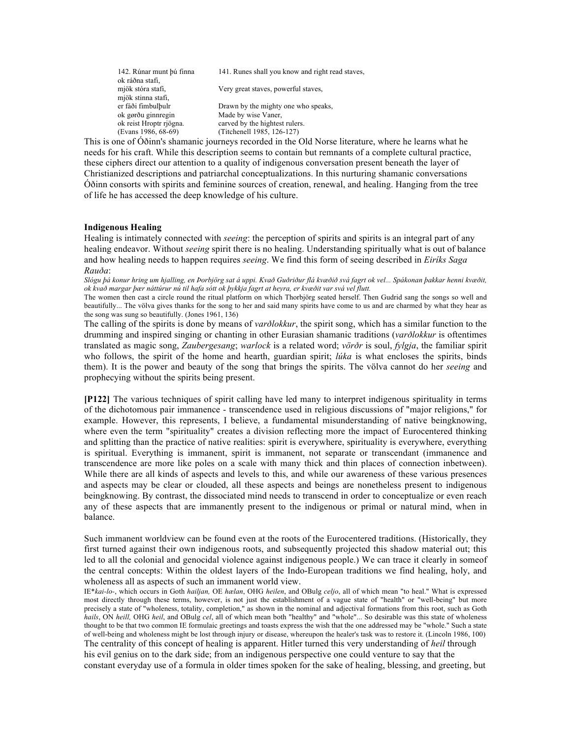| 142. Rúnar munt bú finna | 141. Runes shall you know and right read staves. |
|--------------------------|--------------------------------------------------|
| ok ráðna stafi.          |                                                  |
| mjök stóra stafi,        | Very great staves, powerful staves,              |
| mjök stinna stafi,       |                                                  |
| er fáði fimbulbulr       | Drawn by the mighty one who speaks,              |
| ok gørðu ginnregin       | Made by wise Vaner.                              |
| ok reist Hroptr rjögna.  | carved by the hightest rulers.                   |
| (Evans 1986, 68-69)      | (Titchenell 1985, 126-127)                       |

This is one of Óðinn's shamanic journeys recorded in the Old Norse literature, where he learns what he needs for his craft. While this description seems to contain but remnants of a complete cultural practice, these ciphers direct our attention to a quality of indigenous conversation present beneath the layer of Christianized descriptions and patriarchal conceptualizations. In this nurturing shamanic conversations Óðinn consorts with spirits and feminine sources of creation, renewal, and healing. Hanging from the tree of life he has accessed the deep knowledge of his culture.

#### **Indigenous Healing**

Healing is intimately connected with *seeing*: the perception of spirits and spirits is an integral part of any healing endeavor. Without *seeing* spirit there is no healing. Understanding spiritually what is out of balance and how healing needs to happen requires *seeing*. We find this form of seeing described in *Eiríks Saga Rauða*:

Slógu þá konur hring um hjalling, en Þorbjörg sat á uppi. Kvað Guðriður flá kvæðið svá fagrt ok vel... Spákonan þakkar henni kvæðit, *ok kvað margar þær náttúrur nú til hafa sótt ok þykkja fagrt at heyra, er kvæðit var svá vel flutt.*

The women then cast a circle round the ritual platform on which Thorbjörg seated herself. Then Gudrid sang the songs so well and beautifully... The völva gives thanks for the song to her and said many spirits have come to us and are charmed by what they hear as the song was sung so beautifully. (Jones 1961, 136)

The calling of the spirits is done by means of *varðlokkur*, the spirit song, which has a similar function to the drumming and inspired singing or chanting in other Eurasian shamanic traditions (*varðlokkur* is oftentimes translated as magic song, *Zaubergesang*; *warlock* is a related word; *vörðr* is soul, *fylgja*, the familiar spirit who follows, the spirit of the home and hearth, guardian spirit; *lúka* is what encloses the spirits, binds them). It is the power and beauty of the song that brings the spirits. The völva cannot do her *seeing* and prophecying without the spirits being present.

**[P122]** The various techniques of spirit calling have led many to interpret indigenous spirituality in terms of the dichotomous pair immanence - transcendence used in religious discussions of "major religions," for example. However, this represents, I believe, a fundamental misunderstanding of native beingknowing, where even the term "spirituality" creates a division reflecting more the impact of Eurocentered thinking and splitting than the practice of native realities: spirit is everywhere, spirituality is everywhere, everything is spiritual. Everything is immanent, spirit is immanent, not separate or transcendant (immanence and transcendence are more like poles on a scale with many thick and thin places of connection inbetween). While there are all kinds of aspects and levels to this, and while our awareness of these various presences and aspects may be clear or clouded, all these aspects and beings are nonetheless present to indigenous beingknowing. By contrast, the dissociated mind needs to transcend in order to conceptualize or even reach any of these aspects that are immanently present to the indigenous or primal or natural mind, when in balance.

Such immanent worldview can be found even at the roots of the Eurocentered traditions. (Historically, they first turned against their own indigenous roots, and subsequently projected this shadow material out; this led to all the colonial and genocidal violence against indigenous people.) We can trace it clearly in someof the central concepts: Within the oldest layers of the Indo-European traditions we find healing, holy, and wholeness all as aspects of such an immanent world view.

IE\**kai-lo-*, which occurs in Goth *hailjan,* OE *hælan*, OHG *heilen*, and OBulg *celjo*, all of which mean "to heal." What is expressed most directly through these terms, however, is not just the establishment of a vague state of "health" or "well-being" but more precisely a state of "wholeness, totality, completion," as shown in the nominal and adjectival formations from this root, such as Goth *hails*, ON *heill,* OHG *heil*, and OBulg *cel*, all of which mean both "healthy" and "whole"... So desirable was this state of wholeness thought to be that two common IE formulaic greetings and toasts express the wish that the one addressed may be "whole." Such a state of well-being and wholeness might be lost through injury or disease, whereupon the healer's task was to restore it. (Lincoln 1986, 100) The centrality of this concept of healing is apparent. Hitler turned this very understanding of *heil* through his evil genius on to the dark side; from an indigenous perspective one could venture to say that the constant everyday use of a formula in older times spoken for the sake of healing, blessing, and greeting, but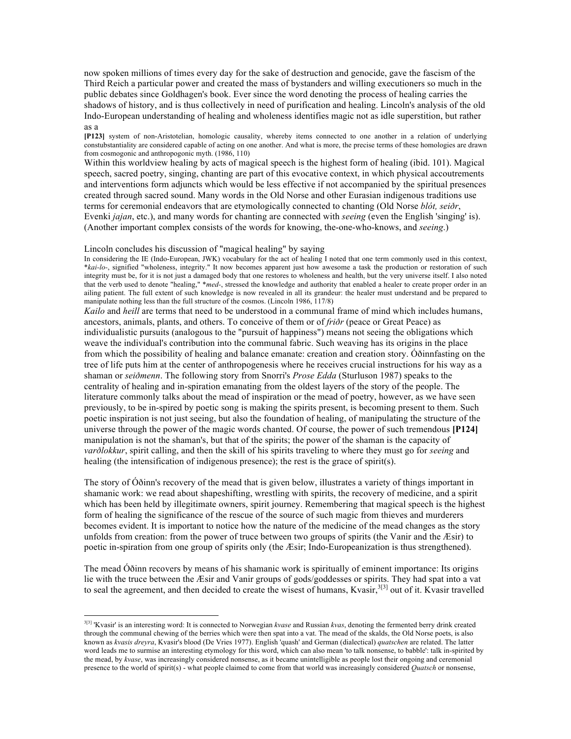now spoken millions of times every day for the sake of destruction and genocide, gave the fascism of the Third Reich a particular power and created the mass of bystanders and willing executioners so much in the public debates since Goldhagen's book. Ever since the word denoting the process of healing carries the shadows of history, and is thus collectively in need of purification and healing. Lincoln's analysis of the old Indo-European understanding of healing and wholeness identifies magic not as idle superstition, but rather as a

**[P123]** system of non-Aristotelian, homologic causality, whereby items connected to one another in a relation of underlying constubstantiality are considered capable of acting on one another. And what is more, the precise terms of these homologies are drawn from cosmogonic and anthropogonic myth. (1986, 110)

Within this worldview healing by acts of magical speech is the highest form of healing (ibid. 101). Magical speech, sacred poetry, singing, chanting are part of this evocative context, in which physical accoutrements and interventions form adjuncts which would be less effective if not accompanied by the spiritual presences created through sacred sound. Many words in the Old Norse and other Eurasian indigenous traditions use terms for ceremonial endeavors that are etymologically connected to chanting (Old Norse *blót, seiðr*, Evenki *jajan*, etc.), and many words for chanting are connected with *seeing* (even the English 'singing' is). (Another important complex consists of the words for knowing, the-one-who-knows, and *seeing*.)

#### Lincoln concludes his discussion of "magical healing" by saying

In considering the IE (Indo-European, JWK) vocabulary for the act of healing I noted that one term commonly used in this context, \**kai-lo-*, signified "wholeness, integrity." It now becomes apparent just how awesome a task the production or restoration of such integrity must be, for it is not just a damaged body that one restores to wholeness and health, but the very universe itself. I also noted that the verb used to denote "healing," \**med-*, stressed the knowledge and authority that enabled a healer to create proper order in an ailing patient. The full extent of such knowledge is now revealed in all its grandeur: the healer must understand and be prepared to manipulate nothing less than the full structure of the cosmos. (Lincoln 1986, 117/8)

*Kailo* and *heill* are terms that need to be understood in a communal frame of mind which includes humans, ancestors, animals, plants, and others. To conceive of them or of *friðr* (peace or Great Peace) as individualistic pursuits (analogous to the "pursuit of happiness") means not seeing the obligations which weave the individual's contribution into the communal fabric. Such weaving has its origins in the place from which the possibility of healing and balance emanate: creation and creation story. Óðinnfasting on the tree of life puts him at the center of anthropogenesis where he receives crucial instructions for his way as a shaman or *seiðmenn*. The following story from Snorri's *Prose Edda* (Sturluson 1987) speaks to the centrality of healing and in-spiration emanating from the oldest layers of the story of the people. The literature commonly talks about the mead of inspiration or the mead of poetry, however, as we have seen previously, to be in-spired by poetic song is making the spirits present, is becoming present to them. Such poetic inspiration is not just seeing, but also the foundation of healing, of manipulating the structure of the universe through the power of the magic words chanted. Of course, the power of such tremendous **[P124]**  manipulation is not the shaman's, but that of the spirits; the power of the shaman is the capacity of *varðlokkur*, spirit calling, and then the skill of his spirits traveling to where they must go for *seeing* and healing (the intensification of indigenous presence); the rest is the grace of spirit(s).

The story of Óðinn's recovery of the mead that is given below, illustrates a variety of things important in shamanic work: we read about shapeshifting, wrestling with spirits, the recovery of medicine, and a spirit which has been held by illegitimate owners, spirit journey. Remembering that magical speech is the highest form of healing the significance of the rescue of the source of such magic from thieves and murderers becomes evident. It is important to notice how the nature of the medicine of the mead changes as the story unfolds from creation: from the power of truce between two groups of spirits (the Vanir and the Æsir) to poetic in-spiration from one group of spirits only (the Æsir; Indo-Europeanization is thus strengthened).

The mead Óðinn recovers by means of his shamanic work is spiritually of eminent importance: Its origins lie with the truce between the Æsir and Vanir groups of gods/goddesses or spirits. They had spat into a vat to seal the agreement, and then decided to create the wisest of humans, Kvasir, $3[3]$  out of it. Kvasir travelled

 <sup>3[3]</sup> 'Kvasir' is an interesting word: It is connected to Norwegian *kvase* and Russian *kvas*, denoting the fermented berry drink created through the communal chewing of the berries which were then spat into a vat. The mead of the skalds, the Old Norse poets, is also known as *kvasis dreyra*, Kvasir's blood (De Vries 1977). English 'quash' and German (dialectical) *quatschen* are related. The latter word leads me to surmise an interesting etymology for this word, which can also mean 'to talk nonsense, to babble': talk in-spirited by the mead, by *kvase*, was increasingly considered nonsense, as it became unintelligible as people lost their ongoing and ceremonial presence to the world of spirit(s) - what people claimed to come from that world was increasingly considered *Quatsch* or nonsense,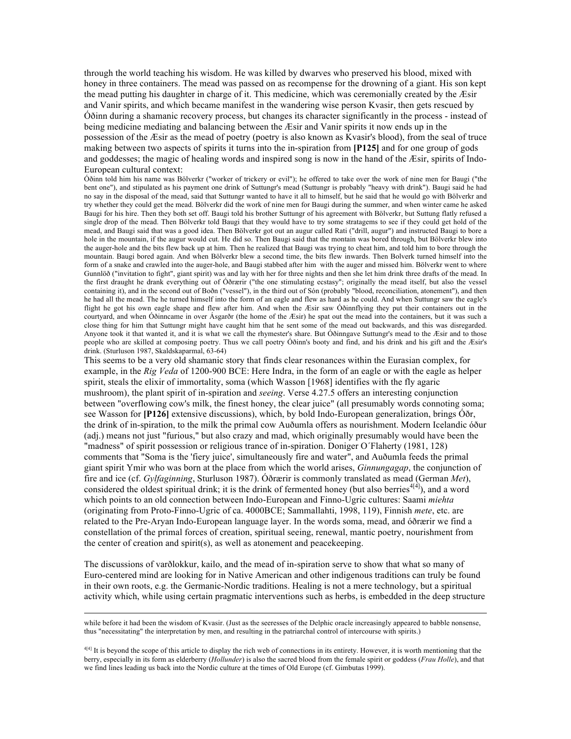through the world teaching his wisdom. He was killed by dwarves who preserved his blood, mixed with honey in three containers. The mead was passed on as recompense for the drowning of a giant. His son kept the mead putting his daughter in charge of it. This medicine, which was ceremonially created by the Æsir and Vanir spirits, and which became manifest in the wandering wise person Kvasir, then gets rescued by Óðinn during a shamanic recovery process, but changes its character significantly in the process - instead of being medicine mediating and balancing between the Æsir and Vanir spirits it now ends up in the possession of the Æsir as the mead of poetry (poetry is also known as Kvasir's blood), from the seal of truce making between two aspects of spirits it turns into the in-spiration from **[P125]** and for one group of gods and goddesses; the magic of healing words and inspired song is now in the hand of the Æsir, spirits of Indo-European cultural context:

Óðinn told him his name was Bölverkr ("worker of trickery or evil"); he offered to take over the work of nine men for Baugi ("the bent one"), and stipulated as his payment one drink of Suttungr's mead (Suttungr is probably "heavy with drink"). Baugi said he had no say in the disposal of the mead, said that Suttungr wanted to have it all to himself, but he said that he would go with Bölverkr and try whether they could get the mead. Bölverkr did the work of nine men for Baugi during the summer, and when winter came he asked Baugi for his hire. Then they both set off. Baugi told his brother Suttungr of his agreement with Bölverkr, but Suttung flatly refused a single drop of the mead. Then Bölverkr told Baugi that they would have to try some stratagems to see if they could get hold of the mead, and Baugi said that was a good idea. Then Bölverkr got out an augur called Rati ("drill, augur") and instructed Baugi to bore a hole in the mountain, if the augur would cut. He did so. Then Baugi said that the montain was bored through, but Bölverkr blew into the auger-hole and the bits flew back up at him. Then he realized that Baugi was trying to cheat him, and told him to bore through the mountain. Baugi bored again. And when Bölverkr blew a second time, the bits flew inwards. Then Bolverk turned himself into the form of a snake and crawled into the auger-hole, and Baugi stabbed after him with the auger and missed him. Bölverkr went to where Gunnlöð ("invitation to fight", giant spirit) was and lay with her for three nights and then she let him drink three drafts of the mead. In the first draught he drank everything out of Óðrærir ("the one stimulating ecstasy"; originally the mead itself, but also the vessel containing it), and in the second out of Boðn ("vessel"), in the third out of Són (probably "blood, reconciliation, atonement"), and then he had all the mead. The he turned himself into the form of an eagle and flew as hard as he could. And when Suttungr saw the eagle's flight he got his own eagle shape and flew after him. And when the Æsir saw Óðinnflying they put their containers out in the courtyard, and when Óðinncame in over Ásgarðr (the home of the Æsir) he spat out the mead into the containers, but it was such a close thing for him that Suttungr might have caught him that he sent some of the mead out backwards, and this was disregarded. Anyone took it that wanted it, and it is what we call the rhymester's share. But Óðinngave Suttungr's mead to the Æsir and to those people who are skilled at composing poetry. Thus we call poetry Óðinn's booty and find, and his drink and his gift and the Æsir's drink. (Sturluson 1987, Skaldskaparmal, 63-64)

This seems to be a very old shamanic story that finds clear resonances within the Eurasian complex, for example, in the *Rig Veda* of 1200-900 BCE: Here Indra, in the form of an eagle or with the eagle as helper spirit, steals the elixir of immortality, soma (which Wasson [1968] identifies with the fly agaric mushroom), the plant spirit of in-spiration and *seeing*. Verse 4.27.5 offers an interesting conjunction between "overflowing cow's milk, the finest honey, the clear juice" (all presumably words connoting soma; see Wasson for **[P126]** extensive discussions), which, by bold Indo-European generalization, brings Óðr, the drink of in-spiration, to the milk the primal cow Auðumla offers as nourishment. Modern Icelandic óður (adj.) means not just "furious," but also crazy and mad, which originally presumably would have been the "madness" of spirit possession or religious trance of in-spiration. Doniger O´Flaherty (1981, 128) comments that "Soma is the 'fiery juice', simultaneously fire and water", and Auðumla feeds the primal giant spirit Ymir who was born at the place from which the world arises, *Ginnungagap*, the conjunction of fire and ice (cf. *Gylfaginning*, Sturluson 1987). Óðrærir is commonly translated as mead (German *Met*), considered the oldest spiritual drink; it is the drink of fermented honey (but also berries<sup>4[4]</sup>), and a word which points to an old connection between Indo-European and Finno-Ugric cultures: Saami *miehta* (originating from Proto-Finno-Ugric of ca. 4000BCE; Sammallahti, 1998, 119), Finnish *mete*, etc. are related to the Pre-Aryan Indo-European language layer. In the words soma, mead, and óðrærir we find a constellation of the primal forces of creation, spiritual seeing, renewal, mantic poetry, nourishment from the center of creation and spirit(s), as well as atonement and peacekeeping.

The discussions of varðlokkur, kailo, and the mead of in-spiration serve to show that what so many of Euro-centered mind are looking for in Native American and other indigenous traditions can truly be found in their own roots, e.g. the Germanic-Nordic traditions. Healing is not a mere technology, but a spiritual activity which, while using certain pragmatic interventions such as herbs, is embedded in the deep structure

while before it had been the wisdom of Kvasir. (Just as the seeresses of the Delphic oracle increasingly appeared to babble nonsense, thus "necessitating" the interpretation by men, and resulting in the patriarchal control of intercourse with spirits.)

 $4(4)$  It is beyond the scope of this article to display the rich web of connections in its entirety. However, it is worth mentioning that the berry, especially in its form as elderberry (*Hollunder*) is also the sacred blood from the female spirit or goddess (*Frau Holle*), and that we find lines leading us back into the Nordic culture at the times of Old Europe (cf. Gimbutas 1999).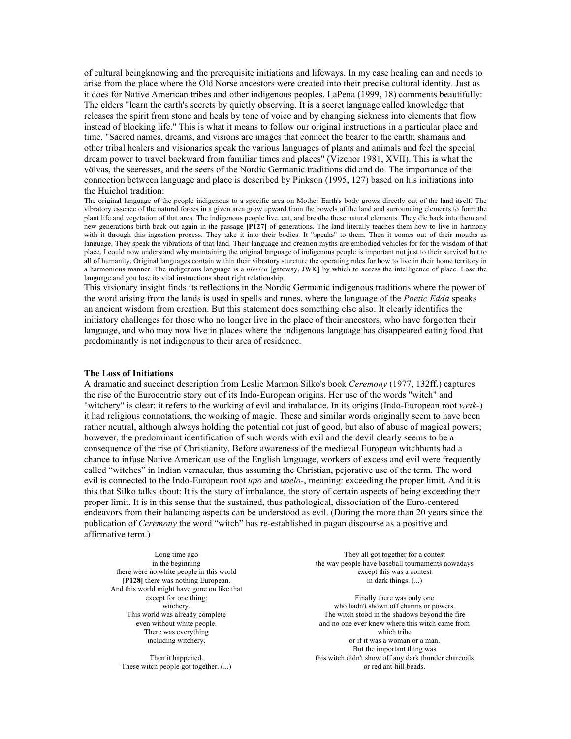of cultural beingknowing and the prerequisite initiations and lifeways. In my case healing can and needs to arise from the place where the Old Norse ancestors were created into their precise cultural identity. Just as it does for Native American tribes and other indigenous peoples. LaPena (1999, 18) comments beautifully: The elders "learn the earth's secrets by quietly observing. It is a secret language called knowledge that releases the spirit from stone and heals by tone of voice and by changing sickness into elements that flow instead of blocking life." This is what it means to follow our original instructions in a particular place and time. "Sacred names, dreams, and visions are images that connect the bearer to the earth; shamans and other tribal healers and visionaries speak the various languages of plants and animals and feel the special dream power to travel backward from familiar times and places" (Vizenor 1981, XVII). This is what the völvas, the seeresses, and the seers of the Nordic Germanic traditions did and do. The importance of the connection between language and place is described by Pinkson (1995, 127) based on his initiations into the Huichol tradition:

The original language of the people indigenous to a specific area on Mother Earth's body grows directly out of the land itself. The vibratory essence of the natural forces in a given area grow upward from the bowels of the land and surrounding elements to form the plant life and vegetation of that area. The indigenous people live, eat, and breathe these natural elements. They die back into them and new generations birth back out again in the passage **[P127]** of generations. The land literally teaches them how to live in harmony with it through this ingestion process. They take it into their bodies. It "speaks" to them. Then it comes out of their mouths as language. They speak the vibrations of that land. Their language and creation myths are embodied vehicles for for the wisdom of that place. I could now understand why maintaining the original language of indigenous people is important not just to their survival but to all of humanity. Original languages contain within their vibratory sturcture the operating rules for how to live in their home territory in a harmonious manner. The indigenous language is a *nierica* [gateway, JWK] by which to access the intelligence of place. Lose the language and you lose its vital instructions about right relationship.

This visionary insight finds its reflections in the Nordic Germanic indigenous traditions where the power of the word arising from the lands is used in spells and runes, where the language of the *Poetic Edda* speaks an ancient wisdom from creation. But this statement does something else also: It clearly identifies the initiatory challenges for those who no longer live in the place of their ancestors, who have forgotten their language, and who may now live in places where the indigenous language has disappeared eating food that predominantly is not indigenous to their area of residence.

#### **The Loss of Initiations**

A dramatic and succinct description from Leslie Marmon Silko's book *Ceremony* (1977, 132ff.) captures the rise of the Eurocentric story out of its Indo-European origins. Her use of the words "witch" and "witchery" is clear: it refers to the working of evil and imbalance. In its origins (Indo-European root *weik-*) it had religious connotations, the working of magic. These and similar words originally seem to have been rather neutral, although always holding the potential not just of good, but also of abuse of magical powers; however, the predominant identification of such words with evil and the devil clearly seems to be a consequence of the rise of Christianity. Before awareness of the medieval European witchhunts had a chance to infuse Native American use of the English language, workers of excess and evil were frequently called "witches" in Indian vernacular, thus assuming the Christian, pejorative use of the term. The word evil is connected to the Indo-European root *upo* and *upelo-*, meaning: exceeding the proper limit. And it is this that Silko talks about: It is the story of imbalance, the story of certain aspects of being exceeding their proper limit. It is in this sense that the sustained, thus pathological, dissociation of the Euro-centered endeavors from their balancing aspects can be understood as evil. (During the more than 20 years since the publication of *Ceremony* the word "witch" has re-established in pagan discourse as a positive and affirmative term.)

Long time ago in the beginning there were no white people in this world **[P128]** there was nothing European. And this world might have gone on like that except for one thing: witchery. This world was already complete even without white people. There was everything including witchery.

Then it happened. These witch people got together. (...)

They all got together for a contest the way people have baseball tournaments nowadays except this was a contest in dark things. (...)

Finally there was only one who hadn't shown off charms or powers. The witch stood in the shadows beyond the fire and no one ever knew where this witch came from which tribe or if it was a woman or a man. But the important thing was this witch didn't show off any dark thunder charcoals or red ant-hill beads.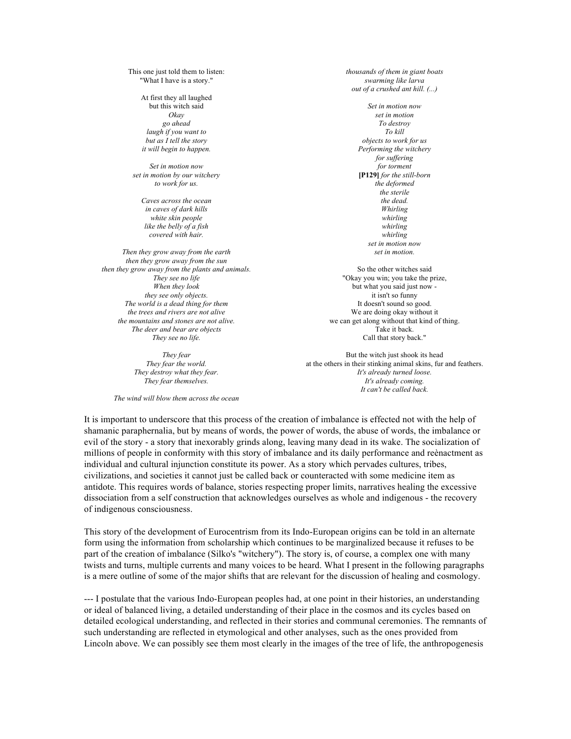At first they all laughed but this witch said *Okay go ahead laugh if you want to but as I tell the story it will begin to happen.*

This one just told them to listen: "What I have is a story."

*Set in motion now set in motion by our witchery to work for us.*

> *Caves across the ocean in caves of dark hills white skin people like the belly of a fish covered with hair.*

*Then they grow away from the earth then they grow away from the sun then they grow away from the plants and animals. They see no life When they look they see only objects. The world is a dead thing for them the trees and rivers are not alive the mountains and stones are not alive. The deer and bear are objects They see no life.*

> *They fear They fear the world. They destroy what they fear. They fear themselves.*

*thousands of them in giant boats swarming like larva out of a crushed ant hill. (...) Set in motion now set in motion To destroy To kill objects to work for us Performing the witchery for suffering for torment* **[P129]** *for the still-born the deformed the sterile the dead. Whirling whirling whirling whirling set in motion now set in motion.* So the other witches said

"Okay you win; you take the prize, but what you said just now it isn't so funny It doesn't sound so good. We are doing okay without it we can get along without that kind of thing. Take it back. Call that story back."

But the witch just shook its head at the others in their stinking animal skins, fur and feathers. *It's already turned loose. It's already coming. It can't be called back.*

*The wind will blow them across the ocean*

It is important to underscore that this process of the creation of imbalance is effected not with the help of shamanic paraphernalia, but by means of words, the power of words, the abuse of words, the imbalance or evil of the story - a story that inexorably grinds along, leaving many dead in its wake. The socialization of millions of people in conformity with this story of imbalance and its daily performance and reènactment as individual and cultural injunction constitute its power. As a story which pervades cultures, tribes, civilizations, and societies it cannot just be called back or counteracted with some medicine item as antidote. This requires words of balance, stories respecting proper limits, narratives healing the excessive dissociation from a self construction that acknowledges ourselves as whole and indigenous - the recovery of indigenous consciousness.

This story of the development of Eurocentrism from its Indo-European origins can be told in an alternate form using the information from scholarship which continues to be marginalized because it refuses to be part of the creation of imbalance (Silko's "witchery"). The story is, of course, a complex one with many twists and turns, multiple currents and many voices to be heard. What I present in the following paragraphs is a mere outline of some of the major shifts that are relevant for the discussion of healing and cosmology.

--- I postulate that the various Indo-European peoples had, at one point in their histories, an understanding or ideal of balanced living, a detailed understanding of their place in the cosmos and its cycles based on detailed ecological understanding, and reflected in their stories and communal ceremonies. The remnants of such understanding are reflected in etymological and other analyses, such as the ones provided from Lincoln above. We can possibly see them most clearly in the images of the tree of life, the anthropogenesis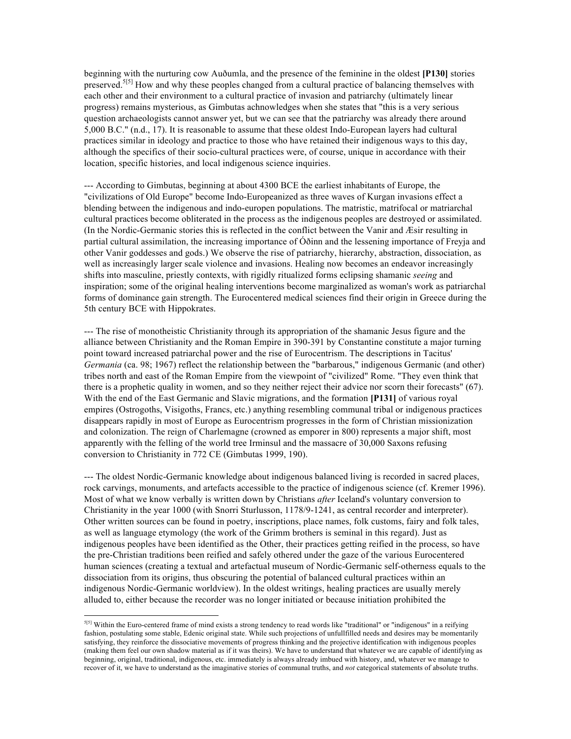beginning with the nurturing cow Auðumla, and the presence of the feminine in the oldest **[P130]** stories preserved.<sup>5[5]</sup> How and why these peoples changed from a cultural practice of balancing themselves with each other and their environment to a cultural practice of invasion and patriarchy (ultimately linear progress) remains mysterious, as Gimbutas achnowledges when she states that "this is a very serious question archaeologists cannot answer yet, but we can see that the patriarchy was already there around 5,000 B.C." (n.d., 17). It is reasonable to assume that these oldest Indo-European layers had cultural practices similar in ideology and practice to those who have retained their indigenous ways to this day, although the specifics of their socio-cultural practices were, of course, unique in accordance with their location, specific histories, and local indigenous science inquiries.

--- According to Gimbutas, beginning at about 4300 BCE the earliest inhabitants of Europe, the "civilizations of Old Europe" become Indo-Europeanized as three waves of Kurgan invasions effect a blending between the indigenous and indo-europen populations. The matristic, matrifocal or matriarchal cultural practices become obliterated in the process as the indigenous peoples are destroyed or assimilated. (In the Nordic-Germanic stories this is reflected in the conflict between the Vanir and Æsir resulting in partial cultural assimilation, the increasing importance of Óðinn and the lessening importance of Freyja and other Vanir goddesses and gods.) We observe the rise of patriarchy, hierarchy, abstraction, dissociation, as well as increasingly larger scale violence and invasions. Healing now becomes an endeavor increasingly shifts into masculine, priestly contexts, with rigidly ritualized forms eclipsing shamanic *seeing* and inspiration; some of the original healing interventions become marginalized as woman's work as patriarchal forms of dominance gain strength. The Eurocentered medical sciences find their origin in Greece during the 5th century BCE with Hippokrates.

--- The rise of monotheistic Christianity through its appropriation of the shamanic Jesus figure and the alliance between Christianity and the Roman Empire in 390-391 by Constantine constitute a major turning point toward increased patriarchal power and the rise of Eurocentrism. The descriptions in Tacitus' *Germania* (ca. 98; 1967) reflect the relationship between the "barbarous," indigenous Germanic (and other) tribes north and east of the Roman Empire from the viewpoint of "civilized" Rome. "They even think that there is a prophetic quality in women, and so they neither reject their advice nor scorn their forecasts" (67). With the end of the East Germanic and Slavic migrations, and the formation **[P131]** of various royal empires (Ostrogoths, Visigoths, Francs, etc.) anything resembling communal tribal or indigenous practices disappears rapidly in most of Europe as Eurocentrism progresses in the form of Christian missionization and colonization. The reign of Charlemagne (crowned as emporer in 800) represents a major shift, most apparently with the felling of the world tree Irminsul and the massacre of 30,000 Saxons refusing conversion to Christianity in 772 CE (Gimbutas 1999, 190).

--- The oldest Nordic-Germanic knowledge about indigenous balanced living is recorded in sacred places, rock carvings, monuments, and artefacts accessible to the practice of indigenous science (cf. Kremer 1996). Most of what we know verbally is written down by Christians *after* Iceland's voluntary conversion to Christianity in the year 1000 (with Snorri Sturlusson, 1178/9-1241, as central recorder and interpreter). Other written sources can be found in poetry, inscriptions, place names, folk customs, fairy and folk tales, as well as language etymology (the work of the Grimm brothers is seminal in this regard). Just as indigenous peoples have been identified as the Other, their practices getting reified in the process, so have the pre-Christian traditions been reified and safely othered under the gaze of the various Eurocentered human sciences (creating a textual and artefactual museum of Nordic-Germanic self-otherness equals to the dissociation from its origins, thus obscuring the potential of balanced cultural practices within an indigenous Nordic-Germanic worldview). In the oldest writings, healing practices are usually merely alluded to, either because the recorder was no longer initiated or because initiation prohibited the

<sup>&</sup>lt;sup>5[5]</sup> Within the Euro-centered frame of mind exists a strong tendency to read words like "traditional" or "indigenous" in a reifying fashion, postulating some stable, Edenic original state. While such projections of unfullfilled needs and desires may be momentarily satisfying, they reinforce the dissociative movements of progress thinking and the projective identification with indigenous peoples (making them feel our own shadow material as if it was theirs). We have to understand that whatever we are capable of identifying as beginning, original, traditional, indigenous, etc. immediately is always already imbued with history, and, whatever we manage to recover of it, we have to understand as the imaginative stories of communal truths, and *not* categorical statements of absolute truths.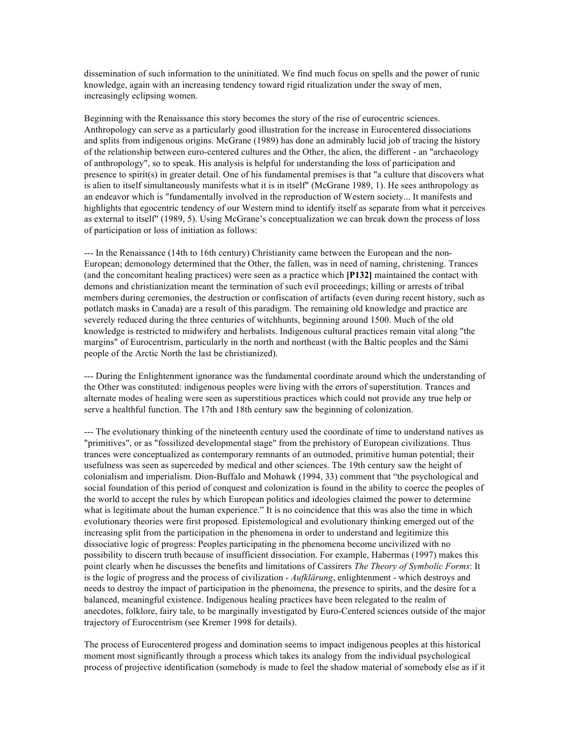dissemination of such information to the uninitiated. We find much focus on spells and the power of runic knowledge, again with an increasing tendency toward rigid ritualization under the sway of men, increasingly eclipsing women.

Beginning with the Renaissance this story becomes the story of the rise of eurocentric sciences. Anthropology can serve as a particularly good illustration for the increase in Eurocentered dissociations and splits from indigenous origins. McGrane (1989) has done an admirably lucid job of tracing the history of the relationship between euro-centered cultures and the Other, the alien, the different - an "archaeology of anthropology", so to speak. His analysis is helpful for understanding the loss of participation and presence to spirit(s) in greater detail. One of his fundamental premises is that "a culture that discovers what is alien to itself simultaneously manifests what it is in itself" (McGrane 1989, 1). He sees anthropology as an endeavor which is "fundamentally involved in the reproduction of Western society... It manifests and highlights that egocentric tendency of our Western mind to identify itself as separate from what it perceives as external to itself" (1989, 5). Using McGrane's conceptualization we can break down the process of loss of participation or loss of initiation as follows:

--- In the Renaissance (14th to 16th century) Christianity came between the European and the non-European; demonology determined that the Other, the fallen, was in need of naming, christening. Trances (and the concomitant healing practices) were seen as a practice which **[P132]** maintained the contact with demons and christianization meant the termination of such evil proceedings; killing or arrests of tribal members during ceremonies, the destruction or confiscation of artifacts (even during recent history, such as potlatch masks in Canada) are a result of this paradigm. The remaining old knowledge and practice are severely reduced during the three centuries of witchhunts, beginning around 1500. Much of the old knowledge is restricted to midwifery and herbalists. Indigenous cultural practices remain vital along "the margins" of Eurocentrism, particularly in the north and northeast (with the Baltic peoples and the Sámi people of the Arctic North the last be christianized).

--- During the Enlightenment ignorance was the fundamental coordinate around which the understanding of the Other was constituted: indigenous peoples were living with the errors of superstitution. Trances and alternate modes of healing were seen as superstitious practices which could not provide any true help or serve a healthful function. The 17th and 18th century saw the beginning of colonization.

--- The evolutionary thinking of the nineteenth century used the coordinate of time to understand natives as "primitives", or as "fossilized developmental stage" from the prehistory of European civilizations. Thus trances were conceptualized as contemporary remnants of an outmoded, primitive human potential; their usefulness was seen as superceded by medical and other sciences. The 19th century saw the height of colonialism and imperialism. Dion-Buffalo and Mohawk (1994, 33) comment that "the psychological and social foundation of this period of conquest and colonization is found in the ability to coerce the peoples of the world to accept the rules by which European politics and ideologies claimed the power to determine what is legitimate about the human experience." It is no coincidence that this was also the time in which evolutionary theories were first proposed. Epistemological and evolutionary thinking emerged out of the increasing split from the participation in the phenomena in order to understand and legitimize this dissociative logic of progress: Peoples participating in the phenomena become uncivilized with no possibility to discern truth because of insufficient dissociation. For example, Habermas (1997) makes this point clearly when he discusses the benefits and limitations of Cassirers *The Theory of Symbolic Forms*: It is the logic of progress and the process of civilization - *Aufklärung*, enlightenment - which destroys and needs to destroy the impact of participation in the phenomena, the presence to spirits, and the desire for a balanced, meaningful existence. Indigenous healing practices have been relegated to the realm of anecdotes, folklore, fairy tale, to be marginally investigated by Euro-Centered sciences outside of the major trajectory of Eurocentrism (see Kremer 1998 for details).

The process of Eurocentered progess and domination seems to impact indigenous peoples at this historical moment most significantly through a process which takes its analogy from the individual psychological process of projective identification (somebody is made to feel the shadow material of somebody else as if it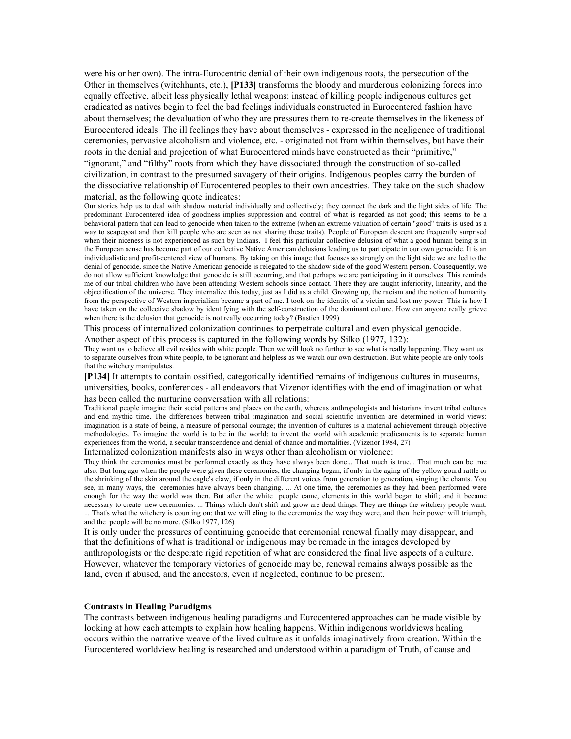were his or her own). The intra-Eurocentric denial of their own indigenous roots, the persecution of the Other in themselves (witchhunts, etc.), **[P133]** transforms the bloody and murderous colonizing forces into equally effective, albeit less physically lethal weapons: instead of killing people indigenous cultures get eradicated as natives begin to feel the bad feelings individuals constructed in Eurocentered fashion have about themselves; the devaluation of who they are pressures them to re-create themselves in the likeness of Eurocentered ideals. The ill feelings they have about themselves - expressed in the negligence of traditional ceremonies, pervasive alcoholism and violence, etc. - originated not from within themselves, but have their roots in the denial and projection of what Eurocentered minds have constructed as their "primitive," "ignorant," and "filthy" roots from which they have dissociated through the construction of so-called civilization, in contrast to the presumed savagery of their origins. Indigenous peoples carry the burden of the dissociative relationship of Eurocentered peoples to their own ancestries. They take on the such shadow material, as the following quote indicates:

Our stories help us to deal with shadow material individually and collectively; they connect the dark and the light sides of life. The predominant Eurocentered idea of goodness implies suppression and control of what is regarded as not good; this seems to be a behavioral pattern that can lead to genocide when taken to the extreme (when an extreme valuation of certain "good" traits is used as a way to scapegoat and then kill people who are seen as not sharing these traits). People of European descent are frequently surprised when their niceness is not experienced as such by Indians. I feel this particular collective delusion of what a good human being is in the European sense has become part of our collective Native American delusions leading us to participate in our own genocide. It is an individualistic and profit-centered view of humans. By taking on this image that focuses so strongly on the light side we are led to the denial of genocide, since the Native American genocide is relegated to the shadow side of the good Western person. Consequently, we do not allow sufficient knowledge that genocide is still occurring, and that perhaps we are participating in it ourselves. This reminds me of our tribal children who have been attending Western schools since contact. There they are taught inferiority, linearity, and the objectification of the universe. They internalize this today, just as I did as a child. Growing up, the racism and the notion of humanity from the perspective of Western imperialism became a part of me. I took on the identity of a victim and lost my power. This is how I have taken on the collective shadow by identifying with the self-construction of the dominant culture. How can anyone really grieve when there is the delusion that genocide is not really occurring today? (Bastien 1999)

This process of internalized colonization continues to perpetrate cultural and even physical genocide.

Another aspect of this process is captured in the following words by Silko (1977, 132):

They want us to believe all evil resides with white people. Then we will look no further to see what is really happening. They want us to separate ourselves from white people, to be ignorant and helpless as we watch our own destruction. But white people are only tools that the witchery manipulates.

**[P134]** It attempts to contain ossified, categorically identified remains of indigenous cultures in museums, universities, books, conferences - all endeavors that Vizenor identifies with the end of imagination or what has been called the nurturing conversation with all relations:

Traditional people imagine their social patterns and places on the earth, whereas anthropologists and historians invent tribal cultures and end mythic time. The differences between tribal imagination and social scientific invention are determined in world views: imagination is a state of being, a measure of personal courage; the invention of cultures is a material achievement through objective methodologies. To imagine the world is to be in the world; to invent the world with academic predicaments is to separate human experiences from the world, a secular transcendence and denial of chance and mortalities. (Vizenor 1984, 27)

Internalized colonization manifests also in ways other than alcoholism or violence:

They think the ceremonies must be performed exactly as they have always been done... That much is true... That much can be true also. But long ago when the people were given these ceremonies, the changing began, if only in the aging of the yellow gourd rattle or the shrinking of the skin around the eagle's claw, if only in the different voices from generation to generation, singing the chants. You see, in many ways, the ceremonies have always been changing. ... At one time, the ceremonies as they had been performed were enough for the way the world was then. But after the white people came, elements in this world began to shift; and it became necessary to create new ceremonies. ... Things which don't shift and grow are dead things. They are things the witchery people want. ... That's what the witchery is counting on: that we will cling to the ceremonies the way they were, and then their power will triumph, and the people will be no more. (Silko 1977, 126)

It is only under the pressures of continuing genocide that ceremonial renewal finally may disappear, and that the definitions of what is traditional or indigenous may be remade in the images developed by

anthropologists or the desperate rigid repetition of what are considered the final live aspects of a culture. However, whatever the temporary victories of genocide may be, renewal remains always possible as the land, even if abused, and the ancestors, even if neglected, continue to be present.

# **Contrasts in Healing Paradigms**

The contrasts between indigenous healing paradigms and Eurocentered approaches can be made visible by looking at how each attempts to explain how healing happens. Within indigenous worldviews healing occurs within the narrative weave of the lived culture as it unfolds imaginatively from creation. Within the Eurocentered worldview healing is researched and understood within a paradigm of Truth, of cause and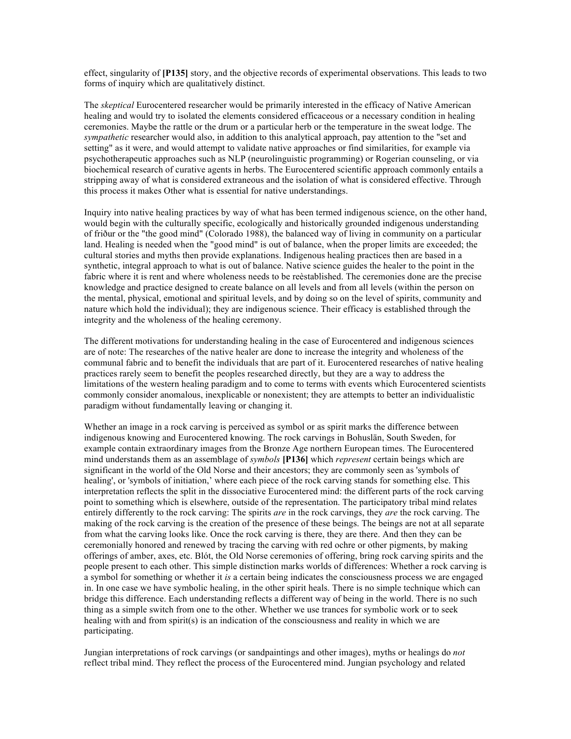effect, singularity of **[P135]** story, and the objective records of experimental observations. This leads to two forms of inquiry which are qualitatively distinct.

The *skeptical* Eurocentered researcher would be primarily interested in the efficacy of Native American healing and would try to isolated the elements considered efficaceous or a necessary condition in healing ceremonies. Maybe the rattle or the drum or a particular herb or the temperature in the sweat lodge. The *sympathetic* researcher would also, in addition to this analytical approach, pay attention to the "set and setting" as it were, and would attempt to validate native approaches or find similarities, for example via psychotherapeutic approaches such as NLP (neurolinguistic programming) or Rogerian counseling, or via biochemical research of curative agents in herbs. The Eurocentered scientific approach commonly entails a stripping away of what is considered extraneous and the isolation of what is considered effective. Through this process it makes Other what is essential for native understandings.

Inquiry into native healing practices by way of what has been termed indigenous science, on the other hand, would begin with the culturally specific, ecologically and historically grounded indigenous understanding of friður or the "the good mind" (Colorado 1988), the balanced way of living in community on a particular land. Healing is needed when the "good mind" is out of balance, when the proper limits are exceeded; the cultural stories and myths then provide explanations. Indigenous healing practices then are based in a synthetic, integral approach to what is out of balance. Native science guides the healer to the point in the fabric where it is rent and where wholeness needs to be reèstablished. The ceremonies done are the precise knowledge and practice designed to create balance on all levels and from all levels (within the person on the mental, physical, emotional and spiritual levels, and by doing so on the level of spirits, community and nature which hold the individual); they are indigenous science. Their efficacy is established through the integrity and the wholeness of the healing ceremony.

The different motivations for understanding healing in the case of Eurocentered and indigenous sciences are of note: The researches of the native healer are done to increase the integrity and wholeness of the communal fabric and to benefit the individuals that are part of it. Eurocentered researches of native healing practices rarely seem to benefit the peoples researched directly, but they are a way to address the limitations of the western healing paradigm and to come to terms with events which Eurocentered scientists commonly consider anomalous, inexplicable or nonexistent; they are attempts to better an individualistic paradigm without fundamentally leaving or changing it.

Whether an image in a rock carving is perceived as symbol or as spirit marks the difference between indigenous knowing and Eurocentered knowing. The rock carvings in Bohuslän, South Sweden, for example contain extraordinary images from the Bronze Age northern European times. The Eurocentered mind understands them as an assemblage of *symbols* **[P136]** which *represent* certain beings which are significant in the world of the Old Norse and their ancestors; they are commonly seen as 'symbols of healing', or 'symbols of initiation,' where each piece of the rock carving stands for something else. This interpretation reflects the split in the dissociative Eurocentered mind: the different parts of the rock carving point to something which is elsewhere, outside of the representation. The participatory tribal mind relates entirely differently to the rock carving: The spirits *are* in the rock carvings, they *are* the rock carving. The making of the rock carving is the creation of the presence of these beings. The beings are not at all separate from what the carving looks like. Once the rock carving is there, they are there. And then they can be ceremonially honored and renewed by tracing the carving with red ochre or other pigments, by making offerings of amber, axes, etc. Blót, the Old Norse ceremonies of offering, bring rock carving spirits and the people present to each other. This simple distinction marks worlds of differences: Whether a rock carving is a symbol for something or whether it *is* a certain being indicates the consciousness process we are engaged in. In one case we have symbolic healing, in the other spirit heals. There is no simple technique which can bridge this difference. Each understanding reflects a different way of being in the world. There is no such thing as a simple switch from one to the other. Whether we use trances for symbolic work or to seek healing with and from  $spinit(s)$  is an indication of the consciousness and reality in which we are participating.

Jungian interpretations of rock carvings (or sandpaintings and other images), myths or healings do *not* reflect tribal mind. They reflect the process of the Eurocentered mind. Jungian psychology and related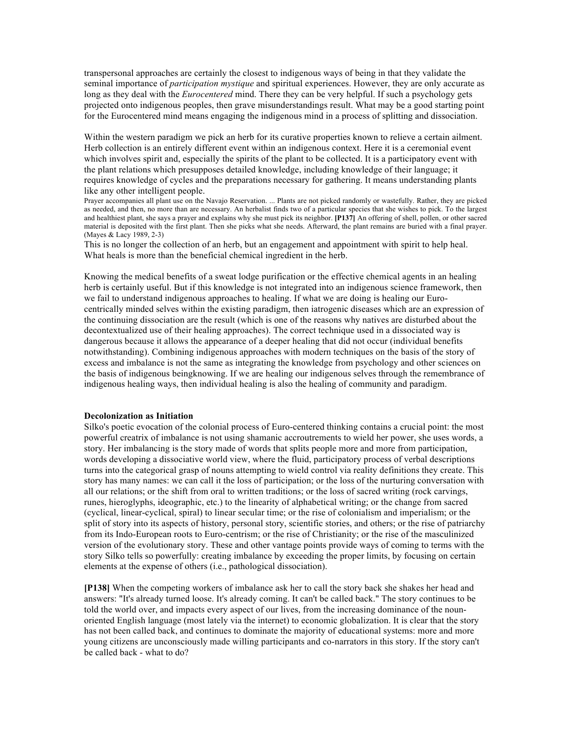transpersonal approaches are certainly the closest to indigenous ways of being in that they validate the seminal importance of *participation mystique* and spiritual experiences. However, they are only accurate as long as they deal with the *Eurocentered* mind. There they can be very helpful. If such a psychology gets projected onto indigenous peoples, then grave misunderstandings result. What may be a good starting point for the Eurocentered mind means engaging the indigenous mind in a process of splitting and dissociation.

Within the western paradigm we pick an herb for its curative properties known to relieve a certain ailment. Herb collection is an entirely different event within an indigenous context. Here it is a ceremonial event which involves spirit and, especially the spirits of the plant to be collected. It is a participatory event with the plant relations which presupposes detailed knowledge, including knowledge of their language; it requires knowledge of cycles and the preparations necessary for gathering. It means understanding plants like any other intelligent people.

Prayer accompanies all plant use on the Navajo Reservation. ... Plants are not picked randomly or wastefully. Rather, they are picked as needed, and then, no more than are necessary. An herbalist finds two of a particular species that she wishes to pick. To the largest and healthiest plant, she says a prayer and explains why she must pick its neighbor. **[P137]** An offering of shell, pollen, or other sacred material is deposited with the first plant. Then she picks what she needs. Afterward, the plant remains are buried with a final prayer. (Mayes & Lacy 1989, 2-3)

This is no longer the collection of an herb, but an engagement and appointment with spirit to help heal. What heals is more than the beneficial chemical ingredient in the herb.

Knowing the medical benefits of a sweat lodge purification or the effective chemical agents in an healing herb is certainly useful. But if this knowledge is not integrated into an indigenous science framework, then we fail to understand indigenous approaches to healing. If what we are doing is healing our Eurocentrically minded selves within the existing paradigm, then iatrogenic diseases which are an expression of the continuing dissociation are the result (which is one of the reasons why natives are disturbed about the decontextualized use of their healing approaches). The correct technique used in a dissociated way is dangerous because it allows the appearance of a deeper healing that did not occur (individual benefits notwithstanding). Combining indigenous approaches with modern techniques on the basis of the story of excess and imbalance is not the same as integrating the knowledge from psychology and other sciences on the basis of indigenous beingknowing. If we are healing our indigenous selves through the remembrance of indigenous healing ways, then individual healing is also the healing of community and paradigm.

#### **Decolonization as Initiation**

Silko's poetic evocation of the colonial process of Euro-centered thinking contains a crucial point: the most powerful creatrix of imbalance is not using shamanic accroutrements to wield her power, she uses words, a story. Her imbalancing is the story made of words that splits people more and more from participation, words developing a dissociative world view, where the fluid, participatory process of verbal descriptions turns into the categorical grasp of nouns attempting to wield control via reality definitions they create. This story has many names: we can call it the loss of participation; or the loss of the nurturing conversation with all our relations; or the shift from oral to written traditions; or the loss of sacred writing (rock carvings, runes, hieroglyphs, ideographic, etc.) to the linearity of alphabetical writing; or the change from sacred (cyclical, linear-cyclical, spiral) to linear secular time; or the rise of colonialism and imperialism; or the split of story into its aspects of history, personal story, scientific stories, and others; or the rise of patriarchy from its Indo-European roots to Euro-centrism; or the rise of Christianity; or the rise of the masculinized version of the evolutionary story. These and other vantage points provide ways of coming to terms with the story Silko tells so powerfully: creating imbalance by exceeding the proper limits, by focusing on certain elements at the expense of others (i.e., pathological dissociation).

**[P138]** When the competing workers of imbalance ask her to call the story back she shakes her head and answers: "It's already turned loose. It's already coming. It can't be called back." The story continues to be told the world over, and impacts every aspect of our lives, from the increasing dominance of the nounoriented English language (most lately via the internet) to economic globalization. It is clear that the story has not been called back, and continues to dominate the majority of educational systems: more and more young citizens are unconsciously made willing participants and co-narrators in this story. If the story can't be called back - what to do?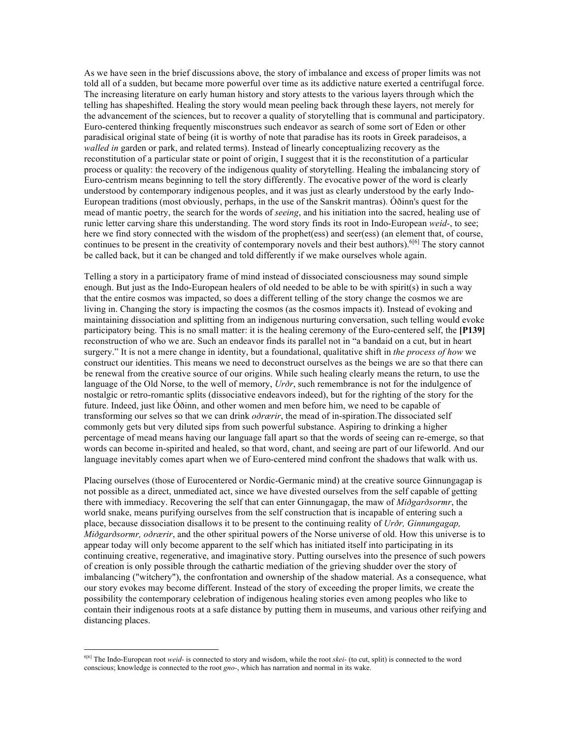As we have seen in the brief discussions above, the story of imbalance and excess of proper limits was not told all of a sudden, but became more powerful over time as its addictive nature exerted a centrifugal force. The increasing literature on early human history and story attests to the various layers through which the telling has shapeshifted. Healing the story would mean peeling back through these layers, not merely for the advancement of the sciences, but to recover a quality of storytelling that is communal and participatory. Euro-centered thinking frequently misconstrues such endeavor as search of some sort of Eden or other paradisical original state of being (it is worthy of note that paradise has its roots in Greek paradeisos, a *walled in* garden or park, and related terms). Instead of linearly conceptualizing recovery as the reconstitution of a particular state or point of origin, I suggest that it is the reconstitution of a particular process or quality: the recovery of the indigenous quality of storytelling. Healing the imbalancing story of Euro-centrism means beginning to tell the story differently. The evocative power of the word is clearly understood by contemporary indigenous peoples, and it was just as clearly understood by the early Indo-European traditions (most obviously, perhaps, in the use of the Sanskrit mantras). Óðinn's quest for the mead of mantic poetry, the search for the words of *seeing*, and his initiation into the sacred, healing use of runic letter carving share this understanding. The word story finds its root in Indo-European *weid-*, to see; here we find story connected with the wisdom of the prophet(ess) and seer(ess) (an element that, of course, continues to be present in the creativity of contemporary novels and their best authors).<sup>6[6]</sup> The story cannot be called back, but it can be changed and told differently if we make ourselves whole again.

Telling a story in a participatory frame of mind instead of dissociated consciousness may sound simple enough. But just as the Indo-European healers of old needed to be able to be with spirit(s) in such a way that the entire cosmos was impacted, so does a different telling of the story change the cosmos we are living in. Changing the story is impacting the cosmos (as the cosmos impacts it). Instead of evoking and maintaining dissociation and splitting from an indigenous nurturing conversation, such telling would evoke participatory being. This is no small matter: it is the healing ceremony of the Euro-centered self, the **[P139]**  reconstruction of who we are. Such an endeavor finds its parallel not in "a bandaid on a cut, but in heart surgery." It is not a mere change in identity, but a foundational, qualitative shift in *the process of how* we construct our identities. This means we need to deconstruct ourselves as the beings we are so that there can be renewal from the creative source of our origins. While such healing clearly means the return, to use the language of the Old Norse, to the well of memory, *Urðr*, such remembrance is not for the indulgence of nostalgic or retro-romantic splits (dissociative endeavors indeed), but for the righting of the story for the future. Indeed, just like Óðinn, and other women and men before him, we need to be capable of transforming our selves so that we can drink *oðrærir*, the mead of in-spiration.The dissociated self commonly gets but very diluted sips from such powerful substance. Aspiring to drinking a higher percentage of mead means having our language fall apart so that the words of seeing can re-emerge, so that words can become in-spirited and healed, so that word, chant, and seeing are part of our lifeworld. And our language inevitably comes apart when we of Euro-centered mind confront the shadows that walk with us.

Placing ourselves (those of Eurocentered or Nordic-Germanic mind) at the creative source Ginnungagap is not possible as a direct, unmediated act, since we have divested ourselves from the self capable of getting there with immediacy. Recovering the self that can enter Ginnungagap, the maw of *Miðgarðsormr*, the world snake, means purifying ourselves from the self construction that is incapable of entering such a place, because dissociation disallows it to be present to the continuing reality of *Urðr, Ginnungagap, Miðgarðsormr, oðrærir*, and the other spiritual powers of the Norse universe of old. How this universe is to appear today will only become apparent to the self which has initiated itself into participating in its continuing creative, regenerative, and imaginative story. Putting ourselves into the presence of such powers of creation is only possible through the cathartic mediation of the grieving shudder over the story of imbalancing ("witchery"), the confrontation and ownership of the shadow material. As a consequence, what our story evokes may become different. Instead of the story of exceeding the proper limits, we create the possibility the contemporary celebration of indigenous healing stories even among peoples who like to contain their indigenous roots at a safe distance by putting them in museums, and various other reifying and distancing places.

 <sup>6[6]</sup> The Indo-European root *weid-* is connected to story and wisdom, while the root *skei-* (to cut, split) is connected to the word conscious; knowledge is connected to the root *gno-*, which has narration and normal in its wake.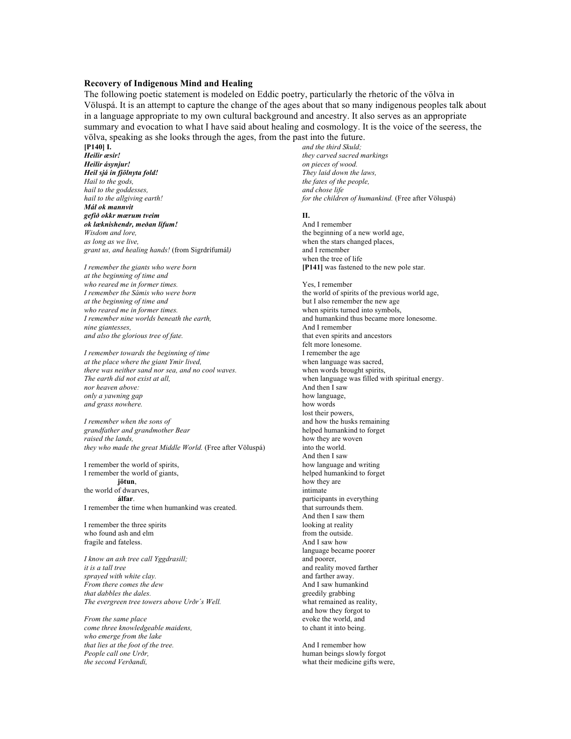#### **Recovery of Indigenous Mind and Healing**

The following poetic statement is modeled on Eddic poetry, particularly the rhetoric of the völva in Völuspá. It is an attempt to capture the change of the ages about that so many indigenous peoples talk about in a language appropriate to my own cultural background and ancestry. It also serves as an appropriate summary and evocation to what I have said about healing and cosmology. It is the voice of the seeress, the völva, speaking as she looks through the ages, from the past into the future.

**[P140] I.** *Heilir æsir! Heilir ásynjur! Heil sjá in fjölnyta fold! Hail to the gods, hail to the goddesses, hail to the allgiving earth! Mál ok mannvit gefið okkr mærum tveim ok læknishendr, meðan lifum! Wisdom and lore, as long as we live, grant us, and healing hands!* (from Sigrdrífumál*)*

*I remember the giants who were born at the beginning of time and who reared me in former times. I remember the Sámis who were born at the beginning of time and who reared me in former times. I remember nine worlds beneath the earth, nine giantesses, and also the glorious tree of fate.*

*I remember towards the beginning of time at the place where the giant Ymir lived, there was neither sand nor sea, and no cool waves. The earth did not exist at all, nor heaven above: only a yawning gap and grass nowhere.*

*I remember when the sons of grandfather and grandmother Bear raised the lands, they who made the great Middle World.* (Free after Völuspá)

I remember the world of spirits, I remember the world of giants, **jötun**, the world of dwarves, **álfar**. I remember the time when humankind was created.

I remember the three spirits who found ash and elm fragile and fateless.

*I know an ash tree call Yggdrasill; it is a tall tree sprayed with white clay. From there comes the dew that dabbles the dales. The evergreen tree towers above Urðr´s Well.*

*From the same place come three knowledgeable maidens, who emerge from the lake that lies at the foot of the tree. People call one Urðr, the second Verðandi,*

*and the third Skuld; they carved sacred markings on pieces of wood. They laid down the laws, the fates of the people, and chose life for the children of humankind.* (Free after Völuspá)

#### **II.**

And I remember the beginning of a new world age, when the stars changed places, and I remember when the tree of life **[P141]** was fastened to the new pole star.

Yes, I remember the world of spirits of the previous world age, but I also remember the new age when spirits turned into symbols, and humankind thus became more lonesome. And I remember that even spirits and ancestors felt more lonesome. I remember the age when language was sacred, when words brought spirits, when language was filled with spiritual energy. And then I saw how language, how words lost their powers, and how the husks remaining helped humankind to forget how they are woven into the world. And then I saw how language and writing helped humankind to forget how they are intimate participants in everything that surrounds them. And then I saw them looking at reality from the outside. And I saw how language became poorer and poorer, and reality moved farther and farther away. And I saw humankind greedily grabbing what remained as reality, and how they forgot to evoke the world, and to chant it into being.

And I remember how human beings slowly forgot what their medicine gifts were,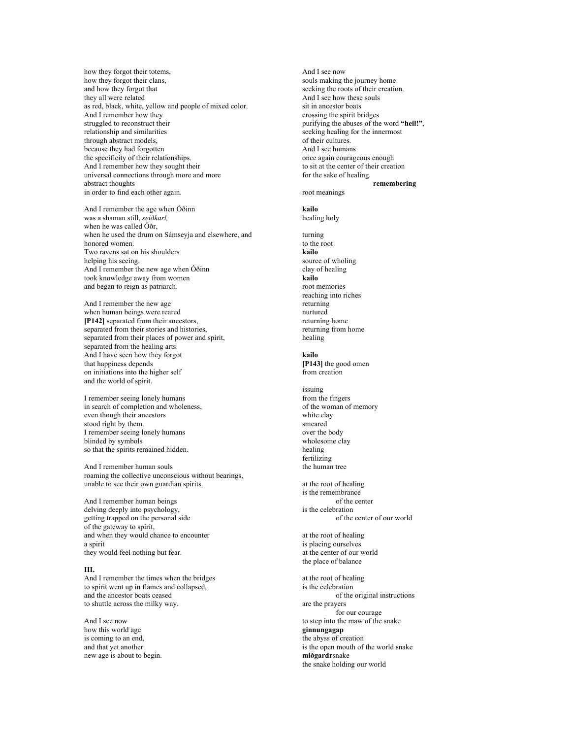how they forgot their totems, how they forgot their clans, and how they forgot that they all were related as red, black, white, yellow and people of mixed color. And I remember how they struggled to reconstruct their relationship and similarities through abstract models, because they had forgotten the specificity of their relationships. And I remember how they sought their universal connections through more and more abstract thoughts in order to find each other again.

And I remember the age when Óðinn was a shaman still, *seiðkarl,* when he was called Óðr, when he used the drum on Sámseyja and elsewhere, and honored women. Two ravens sat on his shoulders helping his seeing. And I remember the new age when Óðinn took knowledge away from women and began to reign as patriarch.

And I remember the new age when human beings were reared **[P142]** separated from their ancestors, separated from their stories and histories, separated from their places of power and spirit, separated from the healing arts. And I have seen how they forgot that happiness depends on initiations into the higher self and the world of spirit.

I remember seeing lonely humans in search of completion and wholeness, even though their ancestors stood right by them. I remember seeing lonely humans blinded by symbols so that the spirits remained hidden.

And I remember human souls roaming the collective unconscious without bearings, unable to see their own guardian spirits.

And I remember human beings delving deeply into psychology, getting trapped on the personal side of the gateway to spirit, and when they would chance to encounter a spirit they would feel nothing but fear.

#### **III.**

And I remember the times when the bridges to spirit went up in flames and collapsed, and the ancestor boats ceased to shuttle across the milky way.

And I see now how this world age is coming to an end, and that yet another new age is about to begin.

And I see now souls making the journey home seeking the roots of their creation. And I see how these souls sit in ancestor boats crossing the spirit bridges purifying the abuses of the word **"heil!"**, seeking healing for the innermost of their cultures. And I see humans once again courageous enough to sit at the center of their creation for the sake of healing.

**remembering**

## root meanings

**kailo** healing holy

turning to the root **kailo** source of wholing clay of healing **kailo** root memories reaching into riches returning nurtured returning home returning from home healing

**kailo [P143]** the good omen from creation

issuing from the fingers of the woman of memory white clay smeared over the body wholesome clay healing fertilizing the human tree

at the root of healing is the remembrance of the center is the celebration of the center of our world

at the root of healing is placing ourselves at the center of our world the place of balance

at the root of healing is the celebration of the original instructions are the prayers for our courage to step into the maw of the snake **ginnungagap** the abyss of creation is the open mouth of the world snake **miðgardr**snake the snake holding our world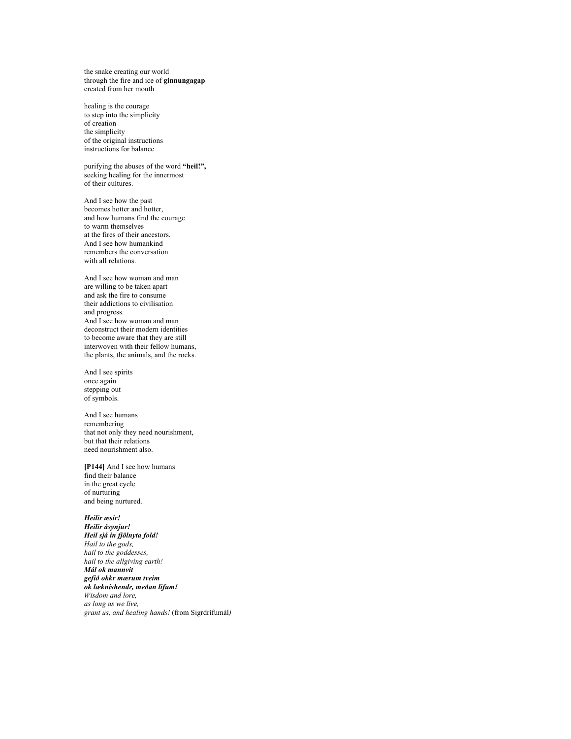the snake creating our world through the fire and ice of **ginnungagap** created from her mouth

healing is the courage to step into the simplicity of creation the simplicity of the original instructions instructions for balance

purifying the abuses of the word **"heil!",** seeking healing for the innermost of their cultures.

And I see how the past becomes hotter and hotter, and how humans find the courage to warm themselves at the fires of their ancestors. And I see how humankind remembers the conversation with all relations.

And I see how woman and man are willing to be taken apart and ask the fire to consume their addictions to civilisation and progress. And I see how woman and man deconstruct their modern identities to become aware that they are still interwoven with their fellow humans, the plants, the animals, and the rocks.

And I see spirits once again stepping out of symbols.

And I see humans remembering that not only they need nourishment, but that their relations need nourishment also.

**[P144]** And I see how humans find their balance in the great cycle of nurturing and being nurtured.

*Heilir æsir! Heilir ásynjur! Heil sjá in fjölnyta fold! Hail to the gods, hail to the goddesses, hail to the allgiving earth! Mál ok mannvit gefið okkr mærum tveim ok læknishendr, meðan lifum! Wisdom and lore, as long as we live, grant us, and healing hands!* (from Sigrdrífumál*)*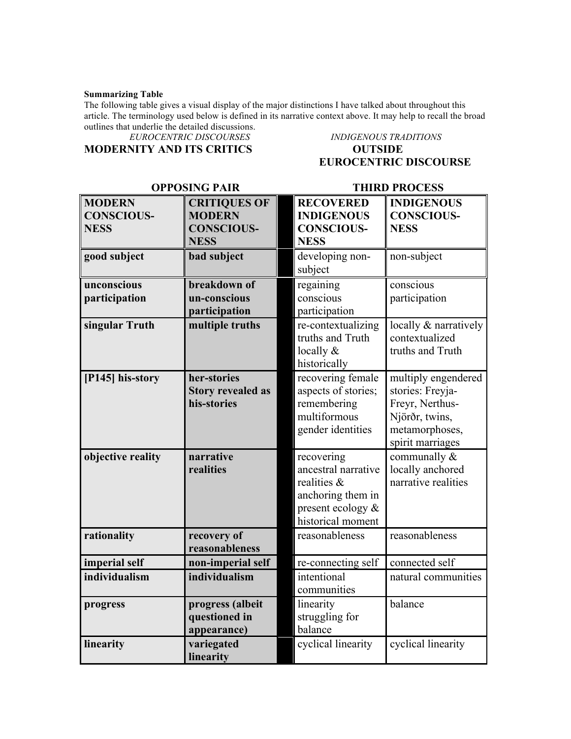### **Summarizing Table**

The following table gives a visual display of the major distinctions I have talked about throughout this article. The terminology used below is defined in its narrative context above. It may help to recall the broad outlines that underlie the detailed discussions.

*EUROCENTRIC DISCOURSES INDIGENOUS TRADITIONS*

# **MODERNITY AND ITS CRITICS OUTSIDE**

# **EUROCENTRIC DISCOURSE**

| <b>OPPOSING PAIR</b>                              |                                                                          | <b>THIRD PROCESS</b> |                                                                                                                 |                                                                                                                    |
|---------------------------------------------------|--------------------------------------------------------------------------|----------------------|-----------------------------------------------------------------------------------------------------------------|--------------------------------------------------------------------------------------------------------------------|
| <b>MODERN</b><br><b>CONSCIOUS-</b><br><b>NESS</b> | <b>CRITIQUES OF</b><br><b>MODERN</b><br><b>CONSCIOUS-</b><br><b>NESS</b> |                      | <b>RECOVERED</b><br><b>INDIGENOUS</b><br><b>CONSCIOUS-</b><br><b>NESS</b>                                       | <b>INDIGENOUS</b><br><b>CONSCIOUS-</b><br><b>NESS</b>                                                              |
| good subject                                      | bad subject                                                              |                      | developing non-<br>subject                                                                                      | non-subject                                                                                                        |
| unconscious<br>participation                      | breakdown of<br>un-conscious<br>participation                            |                      | regaining<br>conscious<br>participation                                                                         | conscious<br>participation                                                                                         |
| singular Truth                                    | multiple truths                                                          |                      | re-contextualizing<br>truths and Truth<br>locally $&$<br>historically                                           | locally & narratively<br>contextualized<br>truths and Truth                                                        |
| [P145] his-story                                  | her-stories<br><b>Story revealed as</b><br>his-stories                   |                      | recovering female<br>aspects of stories;<br>remembering<br>multiformous<br>gender identities                    | multiply engendered<br>stories: Freyja-<br>Freyr, Nerthus-<br>Njörðr, twins,<br>metamorphoses,<br>spirit marriages |
| objective reality                                 | narrative<br>realities                                                   |                      | recovering<br>ancestral narrative<br>realities &<br>anchoring them in<br>present ecology &<br>historical moment | communally &<br>locally anchored<br>narrative realities                                                            |
| rationality                                       | recovery of<br>reasonableness                                            |                      | reasonableness                                                                                                  | reasonableness                                                                                                     |
| imperial self                                     | non-imperial self                                                        |                      | re-connecting self                                                                                              | connected self                                                                                                     |
| individualism                                     | individualism                                                            |                      | intentional<br>communities                                                                                      | natural communities                                                                                                |
| progress                                          | progress (albeit<br>questioned in<br>appearance)                         |                      | linearity<br>struggling for<br>balance                                                                          | balance                                                                                                            |
| linearity                                         | variegated<br>linearity                                                  |                      | cyclical linearity                                                                                              | cyclical linearity                                                                                                 |